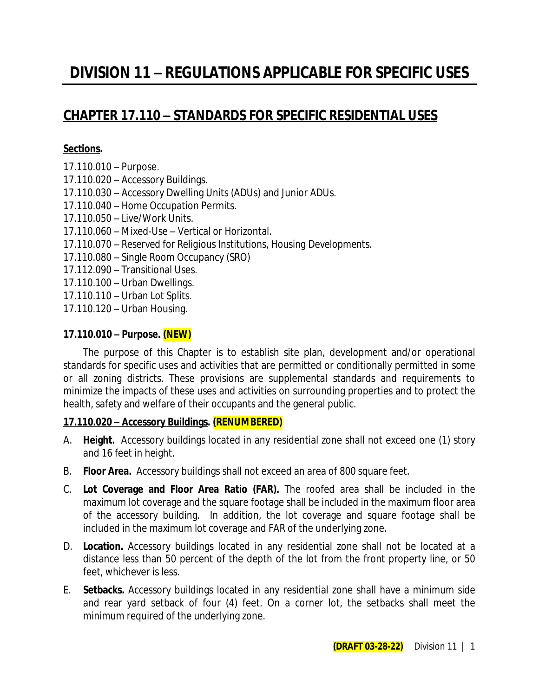# **CHAPTER 17.110 – STANDARDS FOR SPECIFIC RESIDENTIAL USES**

### **Sections.**

- 17.110.010 Purpose.
- 17.110.020 Accessory Buildings.
- 17.110.030 Accessory Dwelling Units (ADUs) and Junior ADUs.
- 17.110.040 Home Occupation Permits.
- 17.110.050 Live/Work Units.
- 17.110.060 Mixed-Use Vertical or Horizontal.
- *17.110.070 – Reserved for Religious Institutions, Housing Developments.*
- 17.110.080 Single Room Occupancy (SRO)
- 17.112.090 Transitional Uses.
- 17.110.100 Urban Dwellings.
- 17.110.110 Urban Lot Splits.
- 17.110.120 Urban Housing.

### **17.110.010 – Purpose. (NEW)**

The purpose of this Chapter is to establish site plan, development and/or operational standards for specific uses and activities that are permitted or conditionally permitted in some or all zoning districts. These provisions are supplemental standards and requirements to minimize the impacts of these uses and activities on surrounding properties and to protect the health, safety and welfare of their occupants and the general public.

### **17.110.020 – Accessory Buildings. (RENUMBERED)**

- A. **Height.** Accessory buildings located in any residential zone shall not exceed one (1) story and 16 feet in height.
- B. **Floor Area.** Accessory buildings shall not exceed an area of 800 square feet.
- C. **Lot Coverage and Floor Area Ratio (FAR).** The roofed area shall be included in the maximum lot coverage and the square footage shall be included in the maximum floor area of the accessory building. In addition, the lot coverage and square footage shall be included in the maximum lot coverage and FAR of the underlying zone.
- D. **Location.** Accessory buildings located in any residential zone shall not be located at a distance less than 50 percent of the depth of the lot from the front property line, or 50 feet, whichever is less.
- E. **Setbacks.** Accessory buildings located in any residential zone shall have a minimum side and rear yard setback of four (4) feet. On a corner lot, the setbacks shall meet the minimum required of the underlying zone.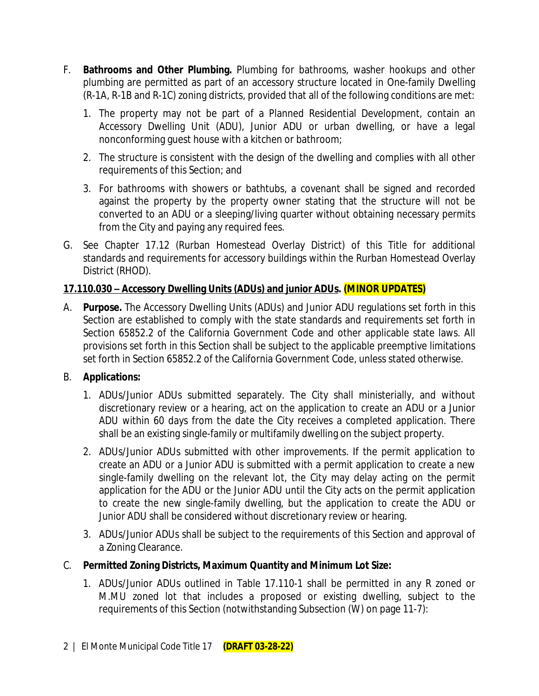- F. **Bathrooms and Other Plumbing.** Plumbing for bathrooms, washer hookups and other plumbing are permitted as part of an accessory structure located in One-family Dwelling (R-1A, R-1B and R-1C) zoning districts, provided that all of the following conditions are met:
	- 1. The property may not be part of a Planned Residential Development, contain an Accessory Dwelling Unit (ADU), Junior ADU or urban dwelling, or have a legal nonconforming guest house with a kitchen or bathroom;
	- 2. The structure is consistent with the design of the dwelling and complies with all other requirements of this Section; and
	- 3. For bathrooms with showers or bathtubs, a covenant shall be signed and recorded against the property by the property owner stating that the structure will not be converted to an ADU or a sleeping/living quarter without obtaining necessary permits from the City and paying any required fees.
- G. See Chapter 17.12 (Rurban Homestead Overlay District) of this Title for additional standards and requirements for accessory buildings within the Rurban Homestead Overlay District (RHOD).

## **17.110.030 – Accessory Dwelling Units (ADUs) and junior ADUs. (MINOR UPDATES)**

A. **Purpose.** The Accessory Dwelling Units (ADUs) and Junior ADU regulations set forth in this Section are established to comply with the state standards and requirements set forth in Section 65852.2 of the California Government Code and other applicable state laws. All provisions set forth in this Section shall be subject to the applicable preemptive limitations set forth in Section 65852.2 of the California Government Code, unless stated otherwise.

### B. **Applications:**

- 1. ADUs/Junior ADUs submitted separately. The City shall ministerially, and without discretionary review or a hearing, act on the application to create an ADU or a Junior ADU within 60 days from the date the City receives a completed application. There shall be an existing single-family or multifamily dwelling on the subject property.
- 2. ADUs/Junior ADUs submitted with other improvements. If the permit application to create an ADU or a Junior ADU is submitted with a permit application to create a new single-family dwelling on the relevant lot, the City may delay acting on the permit application for the ADU or the Junior ADU until the City acts on the permit application to create the new single-family dwelling, but the application to create the ADU or Junior ADU shall be considered without discretionary review or hearing.
- 3. ADUs/Junior ADUs shall be subject to the requirements of this Section and approval of a Zoning Clearance.
- C. **Permitted Zoning Districts, Maximum Quantity and Minimum Lot Size:**
	- 1. ADUs/Junior ADUs outlined in Table 17.110-1 shall be permitted in any R zoned or M.MU zoned lot that includes a proposed or existing dwelling, subject to the requirements of this Section (notwithstanding Subsection (W) on page 11-7):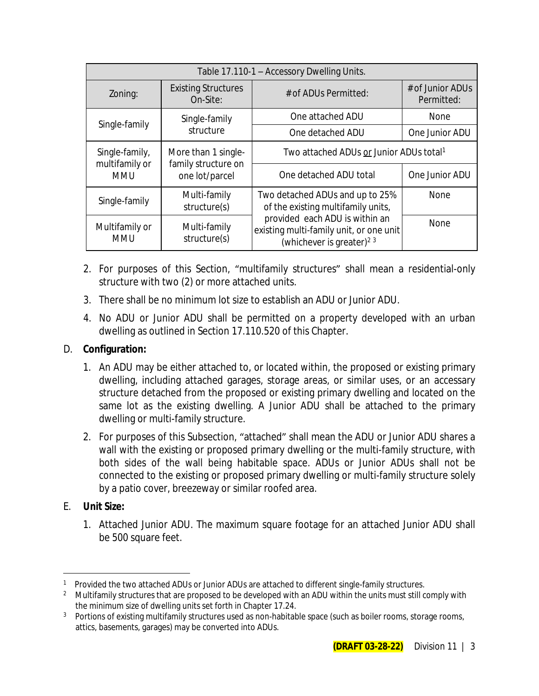| Table 17.110-1 - Accessory Dwelling Units.                            |                                        |                                                                                                                   |                                |
|-----------------------------------------------------------------------|----------------------------------------|-------------------------------------------------------------------------------------------------------------------|--------------------------------|
| Zoning:                                                               | <b>Existing Structures</b><br>On-Site: | # of ADUs Permitted:                                                                                              | # of Junior ADUs<br>Permitted: |
|                                                                       | Single-family                          | One attached ADU                                                                                                  | None                           |
| Single-family                                                         | structure                              | One detached ADU                                                                                                  | One Junior ADU                 |
| Single-family,<br>More than 1 single-                                 |                                        | Two attached ADUs or Junior ADUs total <sup>1</sup>                                                               |                                |
| multifamily or<br>family structure on<br>one lot/parcel<br><b>MMU</b> | One detached ADU total                 | One Junior ADU                                                                                                    |                                |
| Single-family                                                         | Multi-family<br>structure(s)           | Two detached ADUs and up to 25%<br>of the existing multifamily units,                                             | None                           |
| Multifamily or<br><b>MMU</b>                                          | Multi-family<br>structure(s)           | provided each ADU is within an<br>existing multi-family unit, or one unit<br>(whichever is greater) <sup>23</sup> | <b>None</b>                    |

- 2. For purposes of this Section, "multifamily structures" shall mean a residential-only structure with two (2) or more attached units.
- 3. There shall be no minimum lot size to establish an ADU or Junior ADU.
- 4. No ADU or Junior ADU shall be permitted on a property developed with an urban dwelling as outlined in Section 17.110.520 of this Chapter.

### D. **Configuration:**

- 1. An ADU may be either attached to, or located within, the proposed or existing primary dwelling, including attached garages, storage areas, or similar uses, or an accessary structure detached from the proposed or existing primary dwelling and located on the same lot as the existing dwelling. A Junior ADU shall be attached to the primary dwelling or multi-family structure.
- 2. For purposes of this Subsection, "attached" shall mean the ADU or Junior ADU shares a wall with the existing or proposed primary dwelling or the multi-family structure, with both sides of the wall being habitable space. ADUs or Junior ADUs shall not be connected to the existing or proposed primary dwelling or multi-family structure solely by a patio cover, breezeway or similar roofed area.

### E. **Unit Size:**

1. Attached Junior ADU. The maximum square footage for an attached Junior ADU shall be 500 square feet.

<sup>&</sup>lt;sup>1</sup> Provided the two attached ADUs or Junior ADUs are attached to different single-family structures.

<sup>&</sup>lt;sup>2</sup> Multifamily structures that are proposed to be developed with an ADU within the units must still comply with the minimum size of dwelling units set forth in Chapter 17.24.

<sup>&</sup>lt;sup>3</sup> Portions of existing multifamily structures used as non-habitable space (such as boiler rooms, storage rooms, attics, basements, garages) may be converted into ADUs.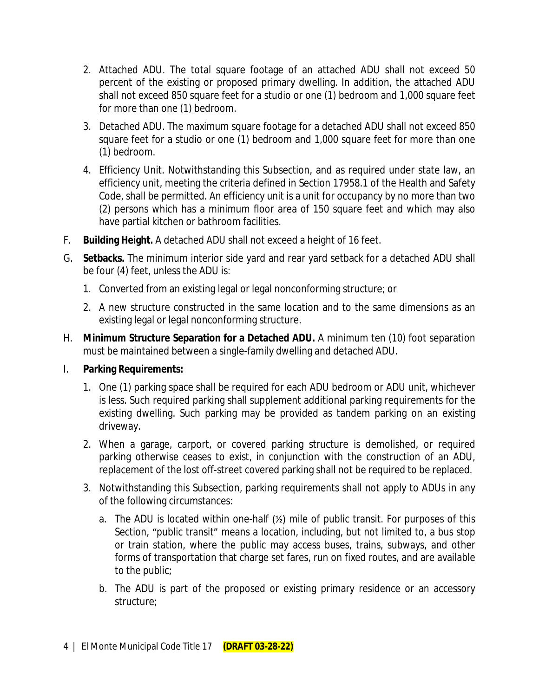- 2. Attached ADU. The total square footage of an attached ADU shall not exceed 50 percent of the existing or proposed primary dwelling. In addition, the attached ADU shall not exceed 850 square feet for a studio or one (1) bedroom and 1,000 square feet for more than one (1) bedroom.
- 3. Detached ADU. The maximum square footage for a detached ADU shall not exceed 850 square feet for a studio or one (1) bedroom and 1,000 square feet for more than one (1) bedroom.
- 4. Efficiency Unit. Notwithstanding this Subsection, and as required under state law, an efficiency unit, meeting the criteria defined in Section 17958.1 of the Health and Safety Code, shall be permitted. An efficiency unit is a unit for occupancy by no more than two (2) persons which has a minimum floor area of 150 square feet and which may also have partial kitchen or bathroom facilities.
- F. **Building Height.** A detached ADU shall not exceed a height of 16 feet.
- G. **Setbacks.** The minimum interior side yard and rear yard setback for a detached ADU shall be four (4) feet, unless the ADU is:
	- 1. Converted from an existing legal or legal nonconforming structure; or
	- 2. A new structure constructed in the same location and to the same dimensions as an existing legal or legal nonconforming structure.
- H. **Minimum Structure Separation for a Detached ADU.** A minimum ten (10) foot separation must be maintained between a single-family dwelling and detached ADU.
- I. **Parking Requirements:**
	- 1. One (1) parking space shall be required for each ADU bedroom or ADU unit, whichever is less. Such required parking shall supplement additional parking requirements for the existing dwelling. Such parking may be provided as tandem parking on an existing driveway.
	- 2. When a garage, carport, or covered parking structure is demolished, or required parking otherwise ceases to exist, in conjunction with the construction of an ADU, replacement of the lost off-street covered parking shall not be required to be replaced.
	- 3. Notwithstanding this Subsection, parking requirements shall not apply to ADUs in any of the following circumstances:
		- a. The ADU is located within one-half (½) mile of public transit. For purposes of this Section, "public transit" means a location, including, but not limited to, a bus stop or train station, where the public may access buses, trains, subways, and other forms of transportation that charge set fares, run on fixed routes, and are available to the public;
		- b. The ADU is part of the proposed or existing primary residence or an accessory structure;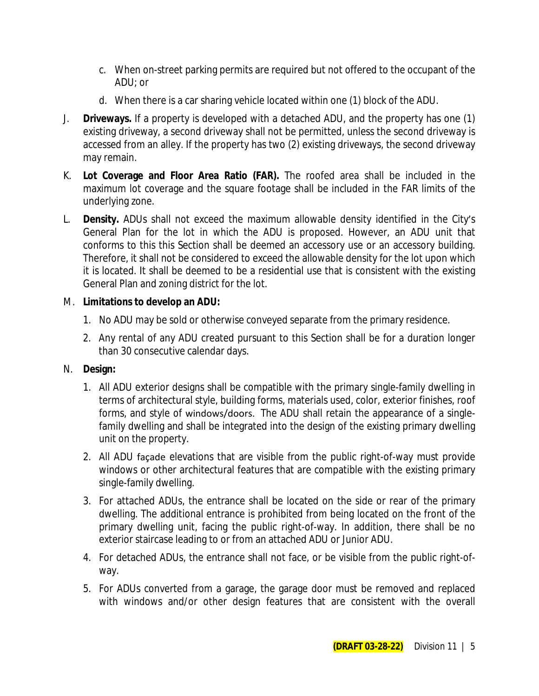- c. When on-street parking permits are required but not offered to the occupant of the ADU; or
- d. When there is a car sharing vehicle located within one (1) block of the ADU.
- J. **Driveways.** If a property is developed with a detached ADU, and the property has one (1) existing driveway, a second driveway shall not be permitted, unless the second driveway is accessed from an alley. If the property has two (2) existing driveways, the second driveway may remain.
- K. **Lot Coverage and Floor Area Ratio (FAR).** The roofed area shall be included in the maximum lot coverage and the square footage shall be included in the FAR limits of the underlying zone.
- L. **Density.** ADUs shall not exceed the maximum allowable density identified in the City's General Plan for the lot in which the ADU is proposed. However, an ADU unit that conforms to this this Section shall be deemed an accessory use or an accessory building. Therefore, it shall not be considered to exceed the allowable density for the lot upon which it is located. It shall be deemed to be a residential use that is consistent with the existing General Plan and zoning district for the lot.

### M. **Limitations to develop an ADU:**

- 1. No ADU may be sold or otherwise conveyed separate from the primary residence.
- 2. Any rental of any ADU created pursuant to this Section shall be for a duration longer than 30 consecutive calendar days.

# N. **Design:**

- 1. All ADU exterior designs shall be compatible with the primary single-family dwelling in terms of architectural style, building forms, materials used, color, exterior finishes, roof forms, and style of windows/doors. The ADU shall retain the appearance of a singlefamily dwelling and shall be integrated into the design of the existing primary dwelling unit on the property.
- 2. All ADU façade elevations that are visible from the public right-of-way must provide windows or other architectural features that are compatible with the existing primary single-family dwelling.
- 3. For attached ADUs, the entrance shall be located on the side or rear of the primary dwelling. The additional entrance is prohibited from being located on the front of the primary dwelling unit, facing the public right-of-way. In addition, there shall be no exterior staircase leading to or from an attached ADU or Junior ADU.
- 4. For detached ADUs, the entrance shall not face, or be visible from the public right-ofway.
- 5. For ADUs converted from a garage, the garage door must be removed and replaced with windows and/or other design features that are consistent with the overall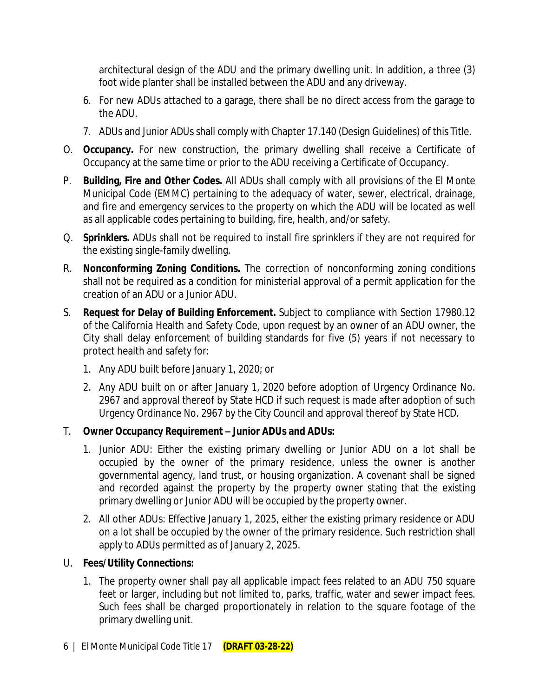architectural design of the ADU and the primary dwelling unit. In addition, a three (3) foot wide planter shall be installed between the ADU and any driveway.

- 6. For new ADUs attached to a garage, there shall be no direct access from the garage to the ADU.
- 7. ADUs and Junior ADUs shall comply with Chapter 17.140 (Design Guidelines) of this Title.
- O. **Occupancy.** For new construction, the primary dwelling shall receive a Certificate of Occupancy at the same time or prior to the ADU receiving a Certificate of Occupancy.
- P. **Building, Fire and Other Codes.** All ADUs shall comply with all provisions of the El Monte Municipal Code (EMMC) pertaining to the adequacy of water, sewer, electrical, drainage, and fire and emergency services to the property on which the ADU will be located as well as all applicable codes pertaining to building, fire, health, and/or safety.
- Q. **Sprinklers.** ADUs shall not be required to install fire sprinklers if they are not required for the existing single-family dwelling.
- R. **Nonconforming Zoning Conditions.** The correction of nonconforming zoning conditions shall not be required as a condition for ministerial approval of a permit application for the creation of an ADU or a Junior ADU.
- S. **Request for Delay of Building Enforcement.** Subject to compliance with Section 17980.12 of the California Health and Safety Code, upon request by an owner of an ADU owner, the City shall delay enforcement of building standards for five (5) years if not necessary to protect health and safety for:
	- 1. Any ADU built before January 1, 2020; or
	- 2. Any ADU built on or after January 1, 2020 before adoption of Urgency Ordinance No. 2967 and approval thereof by State HCD if such request is made after adoption of such Urgency Ordinance No. 2967 by the City Council and approval thereof by State HCD.

# T. **Owner Occupancy Requirement – Junior ADUs and ADUs:**

- 1. Junior ADU: Either the existing primary dwelling or Junior ADU on a lot shall be occupied by the owner of the primary residence, unless the owner is another governmental agency, land trust, or housing organization. A covenant shall be signed and recorded against the property by the property owner stating that the existing primary dwelling or Junior ADU will be occupied by the property owner.
- 2. All other ADUs: Effective January 1, 2025, either the existing primary residence or ADU on a lot shall be occupied by the owner of the primary residence. Such restriction shall apply to ADUs permitted as of January 2, 2025.

# U. **Fees/Utility Connections:**

1. The property owner shall pay all applicable impact fees related to an ADU 750 square feet or larger, including but not limited to, parks, traffic, water and sewer impact fees. Such fees shall be charged proportionately in relation to the square footage of the primary dwelling unit.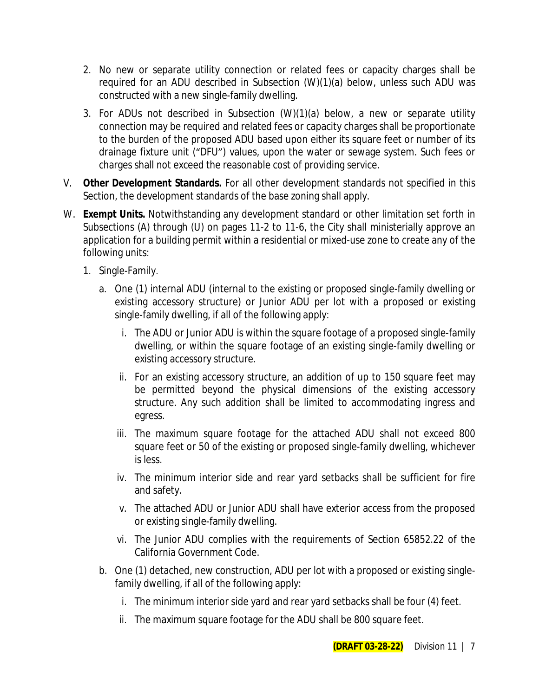- 2. No new or separate utility connection or related fees or capacity charges shall be required for an ADU described in Subsection (W)(1)(a) below, unless such ADU was constructed with a new single-family dwelling.
- 3. For ADUs not described in Subsection (W)(1)(a) below, a new or separate utility connection may be required and related fees or capacity charges shall be proportionate to the burden of the proposed ADU based upon either its square feet or number of its drainage fixture unit ("DFU") values, upon the water or sewage system. Such fees or charges shall not exceed the reasonable cost of providing service.
- V. **Other Development Standards.** For all other development standards not specified in this Section, the development standards of the base zoning shall apply.
- W. **Exempt Units.** Notwithstanding any development standard or other limitation set forth in Subsections (A) through (U) on pages 11-2 to 11-6, the City shall ministerially approve an application for a building permit within a residential or mixed-use zone to create any of the following units:
	- 1. Single-Family.
		- a. One (1) internal ADU (internal to the existing or proposed single-family dwelling or existing accessory structure) or Junior ADU per lot with a proposed or existing single-family dwelling, if all of the following apply:
			- i. The ADU or Junior ADU is within the square footage of a proposed single-family dwelling, or within the square footage of an existing single-family dwelling or existing accessory structure.
			- ii. For an existing accessory structure, an addition of up to 150 square feet may be permitted beyond the physical dimensions of the existing accessory structure. Any such addition shall be limited to accommodating ingress and egress.
			- iii. The maximum square footage for the attached ADU shall not exceed 800 square feet or 50 of the existing or proposed single-family dwelling, whichever is less.
			- iv. The minimum interior side and rear yard setbacks shall be sufficient for fire and safety.
			- v. The attached ADU or Junior ADU shall have exterior access from the proposed or existing single-family dwelling.
			- vi. The Junior ADU complies with the requirements of Section 65852.22 of the California Government Code.
		- b. One (1) detached, new construction, ADU per lot with a proposed or existing singlefamily dwelling, if all of the following apply:
			- i. The minimum interior side yard and rear yard setbacks shall be four (4) feet.
			- ii. The maximum square footage for the ADU shall be 800 square feet.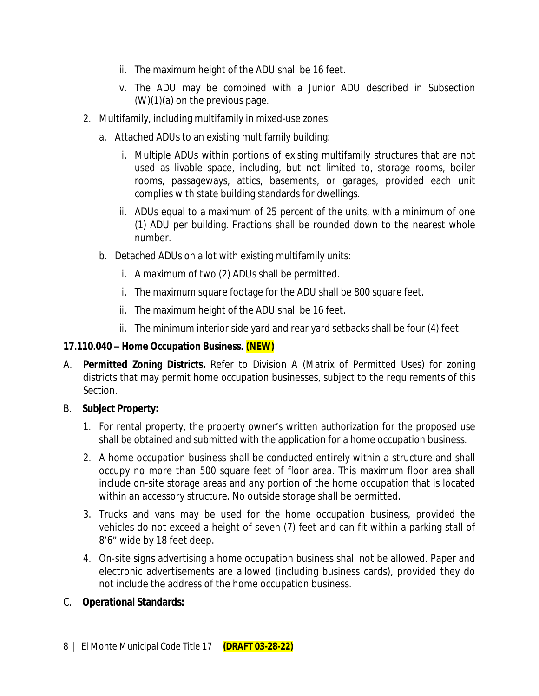- iii. The maximum height of the ADU shall be 16 feet.
- iv. The ADU may be combined with a Junior ADU described in Subsection (W)(1)(a) on the previous page.
- 2. Multifamily, including multifamily in mixed-use zones:
	- a. Attached ADUs to an existing multifamily building:
		- i. Multiple ADUs within portions of existing multifamily structures that are not used as livable space, including, but not limited to, storage rooms, boiler rooms, passageways, attics, basements, or garages, provided each unit complies with state building standards for dwellings.
		- ii. ADUs equal to a maximum of 25 percent of the units, with a minimum of one (1) ADU per building. Fractions shall be rounded down to the nearest whole number.
	- b. Detached ADUs on a lot with existing multifamily units:
		- i. A maximum of two (2) ADUs shall be permitted.
		- i. The maximum square footage for the ADU shall be 800 square feet.
		- ii. The maximum height of the ADU shall be 16 feet.
		- iii. The minimum interior side yard and rear yard setbacks shall be four (4) feet.

### **17.110.040 – Home Occupation Business. (NEW)**

A. **Permitted Zoning Districts.** Refer to Division A (Matrix of Permitted Uses) for zoning districts that may permit home occupation businesses, subject to the requirements of this Section.

### B. **Subject Property:**

- 1. For rental property, the property owner's written authorization for the proposed use shall be obtained and submitted with the application for a home occupation business.
- 2. A home occupation business shall be conducted entirely within a structure and shall occupy no more than 500 square feet of floor area. This maximum floor area shall include on-site storage areas and any portion of the home occupation that is located within an accessory structure. No outside storage shall be permitted.
- 3. Trucks and vans may be used for the home occupation business, provided the vehicles do not exceed a height of seven (7) feet and can fit within a parking stall of 8'6" wide by 18 feet deep.
- 4. On-site signs advertising a home occupation business shall not be allowed. Paper and electronic advertisements are allowed (including business cards), provided they do not include the address of the home occupation business.
- C. **Operational Standards:**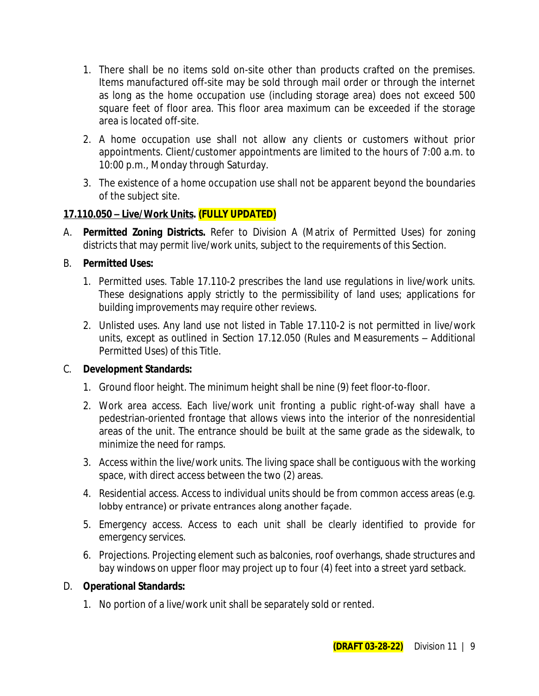- 1. There shall be no items sold on-site other than products crafted on the premises. Items manufactured off-site may be sold through mail order or through the internet as long as the home occupation use (including storage area) does not exceed 500 square feet of floor area. This floor area maximum can be exceeded if the storage area is located off-site.
- 2. A home occupation use shall not allow any clients or customers without prior appointments. Client/customer appointments are limited to the hours of 7:00 a.m. to 10:00 p.m., Monday through Saturday.
- 3. The existence of a home occupation use shall not be apparent beyond the boundaries of the subject site.

### **17.110.050 – Live/Work Units. (FULLY UPDATED)**

A. **Permitted Zoning Districts.** Refer to Division A (Matrix of Permitted Uses) for zoning districts that may permit live/work units, subject to the requirements of this Section.

### B. **Permitted Uses:**

- 1. Permitted uses. Table 17.110-2 prescribes the land use regulations in live/work units. These designations apply strictly to the permissibility of land uses; applications for building improvements may require other reviews.
- 2. Unlisted uses. Any land use not listed in Table 17.110-2 is not permitted in live/work units, except as outlined in Section 17.12.050 (Rules and Measurements – Additional Permitted Uses) of this Title.

### C. **Development Standards:**

- 1. Ground floor height. The minimum height shall be nine (9) feet floor-to-floor.
- 2. Work area access. Each live/work unit fronting a public right-of-way shall have a pedestrian-oriented frontage that allows views into the interior of the nonresidential areas of the unit. The entrance should be built at the same grade as the sidewalk, to minimize the need for ramps.
- 3. Access within the live/work units. The living space shall be contiguous with the working space, with direct access between the two (2) areas.
- 4. Residential access. Access to individual units should be from common access areas (e.g. lobby entrance) or private entrances along another façade.
- 5. Emergency access. Access to each unit shall be clearly identified to provide for emergency services.
- 6. Projections. Projecting element such as balconies, roof overhangs, shade structures and bay windows on upper floor may project up to four (4) feet into a street yard setback.

### D. **Operational Standards:**

1. No portion of a live/work unit shall be separately sold or rented.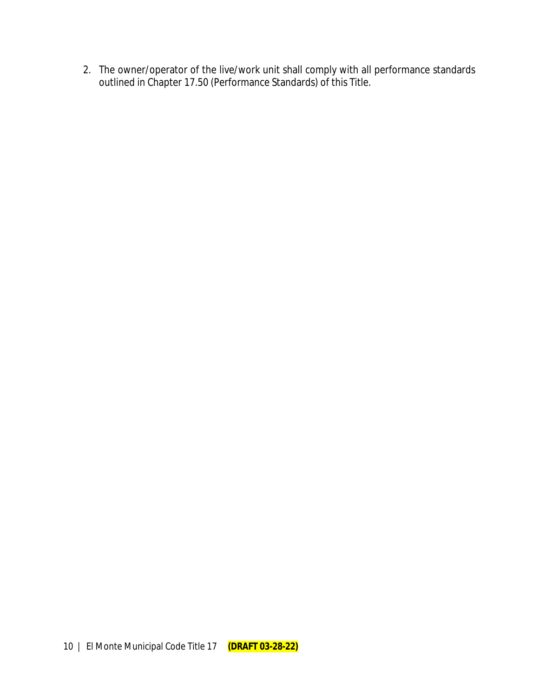2. The owner/operator of the live/work unit shall comply with all performance standards outlined in Chapter 17.50 (Performance Standards) of this Title.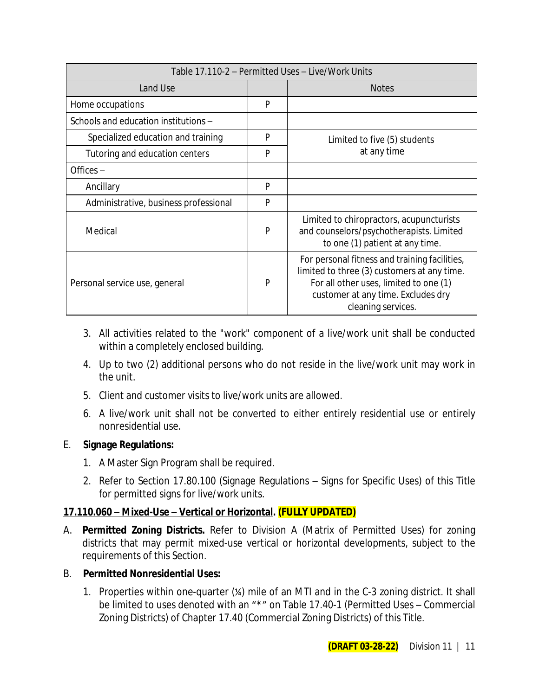| Table 17.110-2 - Permitted Uses - Live/Work Units |   |                                                                                                                                                                                                    |  |
|---------------------------------------------------|---|----------------------------------------------------------------------------------------------------------------------------------------------------------------------------------------------------|--|
| Land Use                                          |   | <b>Notes</b>                                                                                                                                                                                       |  |
| Home occupations                                  | P |                                                                                                                                                                                                    |  |
| Schools and education institutions -              |   |                                                                                                                                                                                                    |  |
| Specialized education and training                | P | Limited to five (5) students                                                                                                                                                                       |  |
| Tutoring and education centers                    | P | at any time                                                                                                                                                                                        |  |
| Offices $-$                                       |   |                                                                                                                                                                                                    |  |
| Ancillary                                         | P |                                                                                                                                                                                                    |  |
| Administrative, business professional             | P |                                                                                                                                                                                                    |  |
| Medical                                           | P | Limited to chiropractors, acupuncturists<br>and counselors/psychotherapists. Limited<br>to one (1) patient at any time.                                                                            |  |
| Personal service use, general                     | P | For personal fitness and training facilities,<br>limited to three (3) customers at any time.<br>For all other uses, limited to one (1)<br>customer at any time. Excludes dry<br>cleaning services. |  |

- 3. All activities related to the "work" component of a live/work unit shall be conducted within a completely enclosed building.
- 4. Up to two (2) additional persons who do not reside in the live/work unit may work in the unit.
- 5. Client and customer visits to live/work units are allowed.
- 6. A live/work unit shall not be converted to either entirely residential use or entirely nonresidential use.

### E. **Signage Regulations:**

- 1. A Master Sign Program shall be required.
- 2. Refer to Section 17.80.100 (Signage Regulations Signs for Specific Uses) of this Title for permitted signs for live/work units.

### **17.110.060 – Mixed-Use – Vertical or Horizontal. (FULLY UPDATED)**

- A. **Permitted Zoning Districts.** Refer to Division A (Matrix of Permitted Uses) for zoning districts that may permit mixed-use vertical or horizontal developments, subject to the requirements of this Section.
- B. **Permitted Nonresidential Uses:**
	- 1. Properties within one-quarter (¼) mile of an MTI and in the C-3 zoning district. It shall be limited to uses denoted with an "\*" on Table 17.40-1 (Permitted Uses – Commercial Zoning Districts) of Chapter 17.40 (Commercial Zoning Districts) of this Title.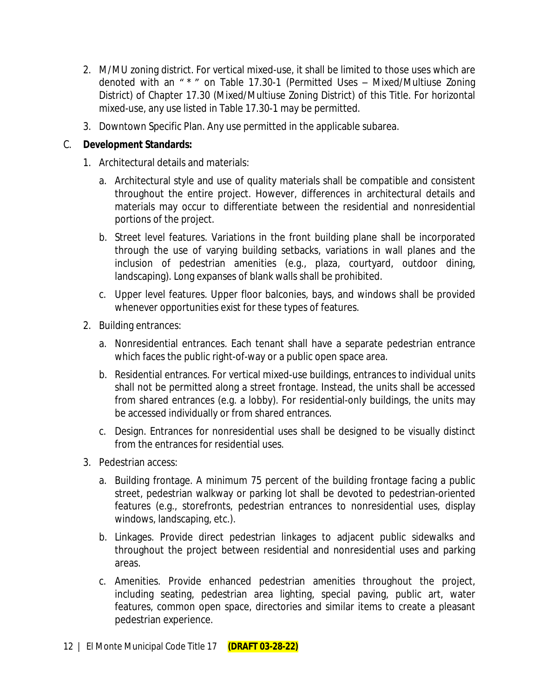- 2. M/MU zoning district. For vertical mixed-use, it shall be limited to those uses which are denoted with an " \* " on Table 17.30-1 (Permitted Uses – Mixed/Multiuse Zoning District) of Chapter 17.30 (Mixed/Multiuse Zoning District) of this Title. For horizontal mixed-use, any use listed in Table 17.30-1 may be permitted.
- 3. Downtown Specific Plan. Any use permitted in the applicable subarea.

### C. **Development Standards:**

- 1. Architectural details and materials:
	- a. Architectural style and use of quality materials shall be compatible and consistent throughout the entire project. However, differences in architectural details and materials may occur to differentiate between the residential and nonresidential portions of the project.
	- b. Street level features. Variations in the front building plane shall be incorporated through the use of varying building setbacks, variations in wall planes and the inclusion of pedestrian amenities (e.g., plaza, courtyard, outdoor dining, landscaping). Long expanses of blank walls shall be prohibited.
	- c. Upper level features. Upper floor balconies, bays, and windows shall be provided whenever opportunities exist for these types of features.
- 2. Building entrances:
	- a. Nonresidential entrances. Each tenant shall have a separate pedestrian entrance which faces the public right-of-way or a public open space area.
	- b. Residential entrances. For vertical mixed-use buildings, entrances to individual units shall not be permitted along a street frontage. Instead, the units shall be accessed from shared entrances (e.g. a lobby). For residential-only buildings, the units may be accessed individually or from shared entrances.
	- c. Design. Entrances for nonresidential uses shall be designed to be visually distinct from the entrances for residential uses.
- 3. Pedestrian access:
	- a. Building frontage. A minimum 75 percent of the building frontage facing a public street, pedestrian walkway or parking lot shall be devoted to pedestrian-oriented features (e.g., storefronts, pedestrian entrances to nonresidential uses, display windows, landscaping, etc.).
	- b. Linkages. Provide direct pedestrian linkages to adjacent public sidewalks and throughout the project between residential and nonresidential uses and parking areas.
	- c. Amenities. Provide enhanced pedestrian amenities throughout the project, including seating, pedestrian area lighting, special paving, public art, water features, common open space, directories and similar items to create a pleasant pedestrian experience.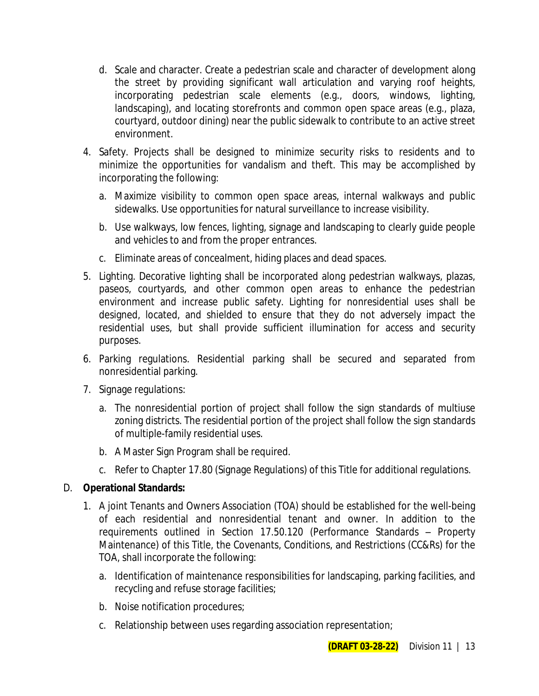- d. Scale and character. Create a pedestrian scale and character of development along the street by providing significant wall articulation and varying roof heights, incorporating pedestrian scale elements (e.g., doors, windows, lighting, landscaping), and locating storefronts and common open space areas (e.g., plaza, courtyard, outdoor dining) near the public sidewalk to contribute to an active street environment.
- 4. Safety. Projects shall be designed to minimize security risks to residents and to minimize the opportunities for vandalism and theft. This may be accomplished by incorporating the following:
	- a. Maximize visibility to common open space areas, internal walkways and public sidewalks. Use opportunities for natural surveillance to increase visibility.
	- b. Use walkways, low fences, lighting, signage and landscaping to clearly guide people and vehicles to and from the proper entrances.
	- c. Eliminate areas of concealment, hiding places and dead spaces.
- 5. Lighting. Decorative lighting shall be incorporated along pedestrian walkways, plazas, paseos, courtyards, and other common open areas to enhance the pedestrian environment and increase public safety. Lighting for nonresidential uses shall be designed, located, and shielded to ensure that they do not adversely impact the residential uses, but shall provide sufficient illumination for access and security purposes.
- 6. Parking regulations. Residential parking shall be secured and separated from nonresidential parking.
- 7. Signage regulations:
	- a. The nonresidential portion of project shall follow the sign standards of multiuse zoning districts. The residential portion of the project shall follow the sign standards of multiple-family residential uses.
	- b. A Master Sign Program shall be required.
	- c. Refer to Chapter 17.80 (Signage Regulations) of this Title for additional regulations.

### D. **Operational Standards:**

- 1. A joint Tenants and Owners Association (TOA) should be established for the well-being of each residential and nonresidential tenant and owner. In addition to the requirements outlined in Section 17.50.120 (Performance Standards – Property Maintenance) of this Title, the Covenants, Conditions, and Restrictions (CC&Rs) for the TOA, shall incorporate the following:
	- a. Identification of maintenance responsibilities for landscaping, parking facilities, and recycling and refuse storage facilities;
	- b. Noise notification procedures;
	- c. Relationship between uses regarding association representation;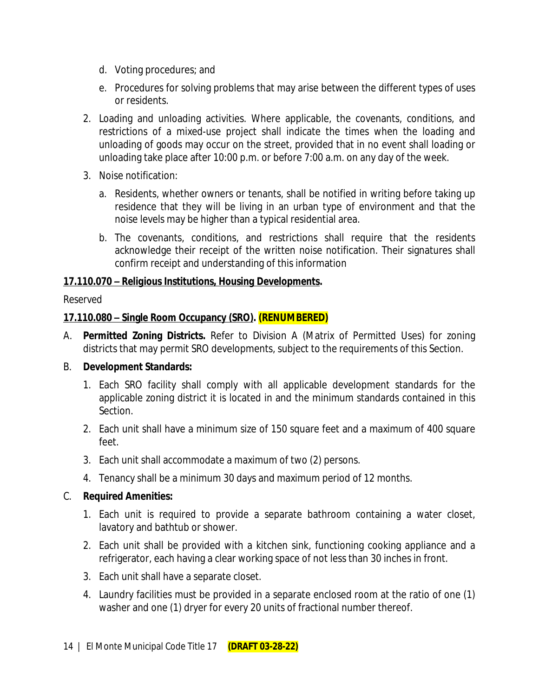- d. Voting procedures; and
- e. Procedures for solving problems that may arise between the different types of uses or residents.
- 2. Loading and unloading activities. Where applicable, the covenants, conditions, and restrictions of a mixed-use project shall indicate the times when the loading and unloading of goods may occur on the street, provided that in no event shall loading or unloading take place after 10:00 p.m. or before 7:00 a.m. on any day of the week.
- 3. Noise notification:
	- a. Residents, whether owners or tenants, shall be notified in writing before taking up residence that they will be living in an urban type of environment and that the noise levels may be higher than a typical residential area.
	- b. The covenants, conditions, and restrictions shall require that the residents acknowledge their receipt of the written noise notification. Their signatures shall confirm receipt and understanding of this information

### *17.110.070 – Religious Institutions, Housing Developments.*

### *Reserved*

### **17.110.080 – Single Room Occupancy (SRO). (RENUMBERED)**

A. **Permitted Zoning Districts.** Refer to Division A (Matrix of Permitted Uses) for zoning districts that may permit SRO developments, subject to the requirements of this Section.

### B. **Development Standards:**

- 1. Each SRO facility shall comply with all applicable development standards for the applicable zoning district it is located in and the minimum standards contained in this Section.
- 2. Each unit shall have a minimum size of 150 square feet and a maximum of 400 square feet.
- 3. Each unit shall accommodate a maximum of two (2) persons.
- 4. Tenancy shall be a minimum 30 days and maximum period of 12 months.

### C. **Required Amenities:**

- 1. Each unit is required to provide a separate bathroom containing a water closet, lavatory and bathtub or shower.
- 2. Each unit shall be provided with a kitchen sink, functioning cooking appliance and a refrigerator, each having a clear working space of not less than 30 inches in front.
- 3. Each unit shall have a separate closet.
- 4. Laundry facilities must be provided in a separate enclosed room at the ratio of one (1) washer and one (1) dryer for every 20 units of fractional number thereof.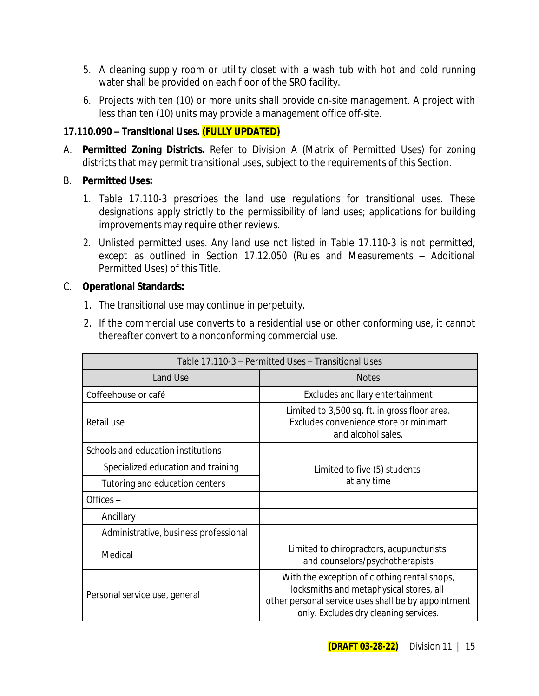- 5. A cleaning supply room or utility closet with a wash tub with hot and cold running water shall be provided on each floor of the SRO facility.
- 6. Projects with ten (10) or more units shall provide on-site management. A project with less than ten (10) units may provide a management office off-site.

### **17.110.090 – Transitional Uses. (FULLY UPDATED)**

A. **Permitted Zoning Districts.** Refer to Division A (Matrix of Permitted Uses) for zoning districts that may permit transitional uses, subject to the requirements of this Section.

### B. **Permitted Uses:**

- 1. Table 17.110-3 prescribes the land use regulations for transitional uses. These designations apply strictly to the permissibility of land uses; applications for building improvements may require other reviews.
- 2. Unlisted permitted uses. Any land use not listed in Table 17.110-3 is not permitted, except as outlined in Section 17.12.050 (Rules and Measurements – Additional Permitted Uses) of this Title.

### C. **Operational Standards:**

- 1. The transitional use may continue in perpetuity.
- 2. If the commercial use converts to a residential use or other conforming use, it cannot thereafter convert to a nonconforming commercial use.

| Table 17.110-3 - Permitted Uses - Transitional Uses |                                                                                                                                                                                         |  |
|-----------------------------------------------------|-----------------------------------------------------------------------------------------------------------------------------------------------------------------------------------------|--|
| Land Use                                            | <b>Notes</b>                                                                                                                                                                            |  |
| Coffeehouse or café                                 | Excludes ancillary entertainment                                                                                                                                                        |  |
| Retail use                                          | Limited to 3,500 sq. ft. in gross floor area.<br>Excludes convenience store or minimart<br>and alcohol sales.                                                                           |  |
| Schools and education institutions -                |                                                                                                                                                                                         |  |
| Specialized education and training                  | Limited to five (5) students<br>at any time                                                                                                                                             |  |
| Tutoring and education centers                      |                                                                                                                                                                                         |  |
| Offices-                                            |                                                                                                                                                                                         |  |
| Ancillary                                           |                                                                                                                                                                                         |  |
| Administrative, business professional               |                                                                                                                                                                                         |  |
| Medical                                             | Limited to chiropractors, acupuncturists<br>and counselors/psychotherapists                                                                                                             |  |
| Personal service use, general                       | With the exception of clothing rental shops,<br>locksmiths and metaphysical stores, all<br>other personal service uses shall be by appointment<br>only. Excludes dry cleaning services. |  |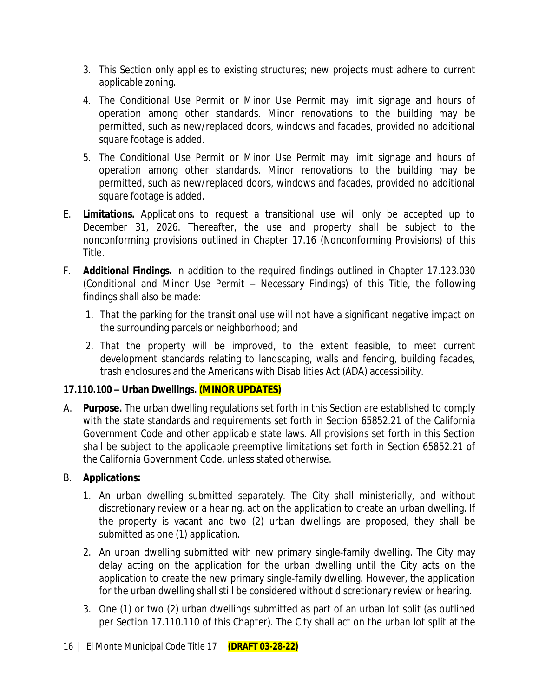- 3. This Section only applies to existing structures; new projects must adhere to current applicable zoning.
- 4. The Conditional Use Permit or Minor Use Permit may limit signage and hours of operation among other standards. Minor renovations to the building may be permitted, such as new/replaced doors, windows and facades, provided no additional square footage is added.
- 5. The Conditional Use Permit or Minor Use Permit may limit signage and hours of operation among other standards. Minor renovations to the building may be permitted, such as new/replaced doors, windows and facades, provided no additional square footage is added.
- E. **Limitations.** Applications to request a transitional use will only be accepted up to December 31, 2026. Thereafter, the use and property shall be subject to the nonconforming provisions outlined in Chapter 17.16 (Nonconforming Provisions) of this Title.
- F. **Additional Findings.** In addition to the required findings outlined in Chapter 17.123.030 (Conditional and Minor Use Permit – Necessary Findings) of this Title, the following findings shall also be made:
	- 1. That the parking for the transitional use will not have a significant negative impact on the surrounding parcels or neighborhood; and
	- 2. That the property will be improved, to the extent feasible, to meet current development standards relating to landscaping, walls and fencing, building facades, trash enclosures and the Americans with Disabilities Act (ADA) accessibility.

# **17.110.100 – Urban Dwellings. (MINOR UPDATES)**

A. **Purpose.** The urban dwelling regulations set forth in this Section are established to comply with the state standards and requirements set forth in Section 65852.21 of the California Government Code and other applicable state laws. All provisions set forth in this Section shall be subject to the applicable preemptive limitations set forth in Section 65852.21 of the California Government Code, unless stated otherwise.

### B. **Applications:**

- 1. An urban dwelling submitted separately. The City shall ministerially, and without discretionary review or a hearing, act on the application to create an urban dwelling. If the property is vacant and two (2) urban dwellings are proposed, they shall be submitted as one (1) application.
- 2. An urban dwelling submitted with new primary single-family dwelling. The City may delay acting on the application for the urban dwelling until the City acts on the application to create the new primary single-family dwelling. However, the application for the urban dwelling shall still be considered without discretionary review or hearing.
- 3. One (1) or two (2) urban dwellings submitted as part of an urban lot split (as outlined per Section 17.110.110 of this Chapter). The City shall act on the urban lot split at the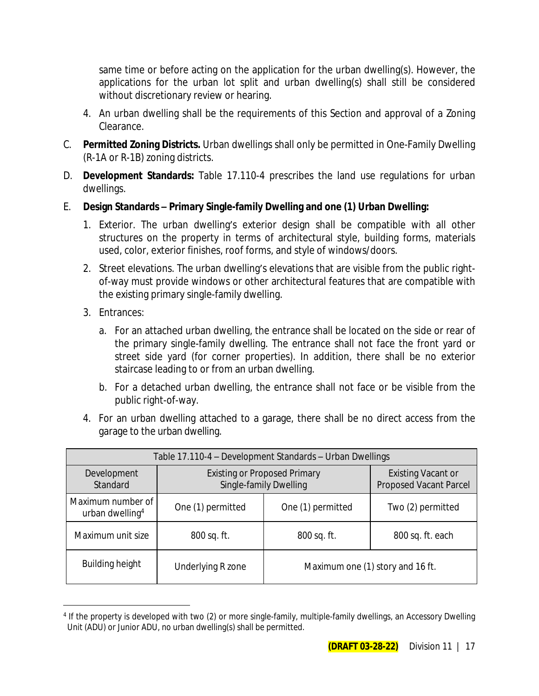same time or before acting on the application for the urban dwelling(s). However, the applications for the urban lot split and urban dwelling(s) shall still be considered without discretionary review or hearing.

- 4. An urban dwelling shall be the requirements of this Section and approval of a Zoning Clearance.
- C. **Permitted Zoning Districts.** Urban dwellings shall only be permitted in One-Family Dwelling (R-1A or R-1B) zoning districts.
- D. **Development Standards:** Table 17.110-4 prescribes the land use regulations for urban dwellings.
- E. **Design Standards – Primary Single-family Dwelling and one (1) Urban Dwelling:**
	- 1. Exterior. The urban dwelling's exterior design shall be compatible with all other structures on the property in terms of architectural style, building forms, materials used, color, exterior finishes, roof forms, and style of windows/doors.
	- 2. Street elevations. The urban dwelling's elevations that are visible from the public rightof-way must provide windows or other architectural features that are compatible with the existing primary single-family dwelling.
	- 3. Entrances:
		- a. For an attached urban dwelling, the entrance shall be located on the side or rear of the primary single-family dwelling. The entrance shall not face the front yard or street side yard (for corner properties). In addition, there shall be no exterior staircase leading to or from an urban dwelling.
		- b. For a detached urban dwelling, the entrance shall not face or be visible from the public right-of-way.
	- 4. For an urban dwelling attached to a garage, there shall be no direct access from the garage to the urban dwelling.

| Table 17.110-4 - Development Standards - Urban Dwellings |                                                               |                   |                                                            |
|----------------------------------------------------------|---------------------------------------------------------------|-------------------|------------------------------------------------------------|
| Development<br>Standard                                  | <b>Existing or Proposed Primary</b><br>Single-family Dwelling |                   | <b>Existing Vacant or</b><br><b>Proposed Vacant Parcel</b> |
| Maximum number of<br>urban dwelling <sup>4</sup>         | One (1) permitted                                             | One (1) permitted | Two (2) permitted                                          |
| Maximum unit size                                        | 800 sq. ft.                                                   | 800 sq. ft.       | 800 sq. ft. each                                           |
| <b>Building height</b>                                   | Underlying R zone                                             |                   | Maximum one (1) story and 16 ft.                           |

<sup>4</sup> If the property is developed with two (2) or more single-family, multiple-family dwellings, an Accessory Dwelling Unit (ADU) or Junior ADU, no urban dwelling(s) shall be permitted.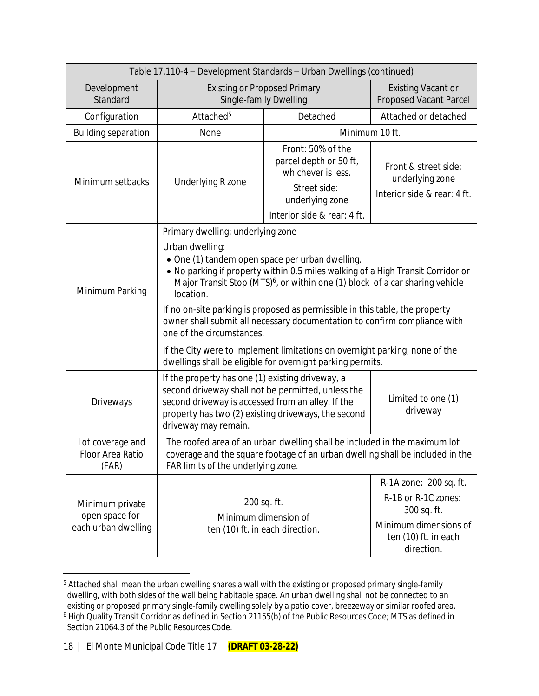| Table 17.110-4 - Development Standards - Urban Dwellings (continued) |                                                                                                                                                                                                                                                                                                                                                                                                                             |                                                                                   |                                                                        |  |
|----------------------------------------------------------------------|-----------------------------------------------------------------------------------------------------------------------------------------------------------------------------------------------------------------------------------------------------------------------------------------------------------------------------------------------------------------------------------------------------------------------------|-----------------------------------------------------------------------------------|------------------------------------------------------------------------|--|
| Development<br>Standard                                              | <b>Existing or Proposed Primary</b><br>Single-family Dwelling                                                                                                                                                                                                                                                                                                                                                               |                                                                                   | <b>Existing Vacant or</b><br><b>Proposed Vacant Parcel</b>             |  |
| Configuration                                                        | Attached <sup>5</sup>                                                                                                                                                                                                                                                                                                                                                                                                       | Detached                                                                          | Attached or detached                                                   |  |
| <b>Building separation</b>                                           | None                                                                                                                                                                                                                                                                                                                                                                                                                        |                                                                                   | Minimum 10 ft.                                                         |  |
| Minimum setbacks                                                     | Underlying R zone                                                                                                                                                                                                                                                                                                                                                                                                           | Front: 50% of the<br>parcel depth or 50 ft,<br>whichever is less.<br>Street side: | Front & street side:<br>underlying zone<br>Interior side & rear: 4 ft. |  |
|                                                                      |                                                                                                                                                                                                                                                                                                                                                                                                                             | underlying zone                                                                   |                                                                        |  |
|                                                                      |                                                                                                                                                                                                                                                                                                                                                                                                                             | Interior side & rear: 4 ft.                                                       |                                                                        |  |
|                                                                      | Primary dwelling: underlying zone                                                                                                                                                                                                                                                                                                                                                                                           |                                                                                   |                                                                        |  |
| Minimum Parking                                                      | Urban dwelling:<br>· One (1) tandem open space per urban dwelling.<br>. No parking if property within 0.5 miles walking of a High Transit Corridor or<br>Major Transit Stop (MTS) <sup>6</sup> , or within one (1) block of a car sharing vehicle<br>location.<br>If no on-site parking is proposed as permissible in this table, the property<br>owner shall submit all necessary documentation to confirm compliance with |                                                                                   |                                                                        |  |
|                                                                      | one of the circumstances.<br>If the City were to implement limitations on overnight parking, none of the<br>dwellings shall be eligible for overnight parking permits.                                                                                                                                                                                                                                                      |                                                                                   |                                                                        |  |
| Driveways                                                            | If the property has one (1) existing driveway, a<br>second driveway shall not be permitted, unless the<br>Limited to one (1)<br>second driveway is accessed from an alley. If the<br>driveway<br>property has two (2) existing driveways, the second<br>driveway may remain.                                                                                                                                                |                                                                                   |                                                                        |  |
| Lot coverage and<br>Floor Area Ratio<br>(FAR)                        | The roofed area of an urban dwelling shall be included in the maximum lot<br>coverage and the square footage of an urban dwelling shall be included in the<br>FAR limits of the underlying zone.                                                                                                                                                                                                                            |                                                                                   |                                                                        |  |
| Minimum private<br>open space for<br>each urban dwelling             | R-1A zone: 200 sq. ft.<br>R-1B or R-1C zones:<br>200 sq. ft.<br>300 sq. ft.<br>Minimum dimension of<br>Minimum dimensions of<br>ten (10) ft. in each direction.<br>ten (10) ft. in each<br>direction.                                                                                                                                                                                                                       |                                                                                   |                                                                        |  |

<sup>5</sup> Attached shall mean the urban dwelling shares a wall with the existing or proposed primary single-family dwelling, with both sides of the wall being habitable space. An urban dwelling shall not be connected to an existing or proposed primary single-family dwelling solely by a patio cover, breezeway or similar roofed area.

<sup>6</sup> High Quality Transit Corridor as defined in Section 21155(b) of the Public Resources Code; MTS as defined in Section 21064.3 of the Public Resources Code.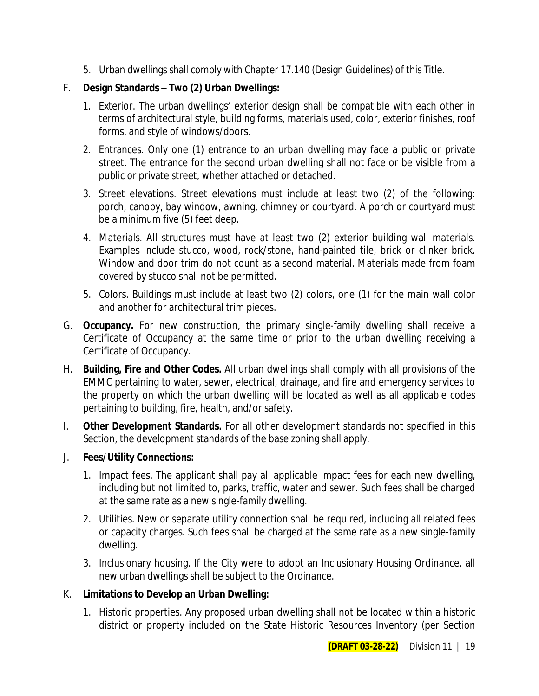5. Urban dwellings shall comply with Chapter 17.140 (Design Guidelines) of this Title.

### F. **Design Standards – Two (2) Urban Dwellings:**

- 1. Exterior. The urban dwellings' exterior design shall be compatible with each other in terms of architectural style, building forms, materials used, color, exterior finishes, roof forms, and style of windows/doors.
- 2. Entrances. Only one (1) entrance to an urban dwelling may face a public or private street. The entrance for the second urban dwelling shall not face or be visible from a public or private street, whether attached or detached.
- 3. Street elevations. Street elevations must include at least two (2) of the following: porch, canopy, bay window, awning, chimney or courtyard. A porch or courtyard must be a minimum five (5) feet deep.
- 4. Materials. All structures must have at least two (2) exterior building wall materials. Examples include stucco, wood, rock/stone, hand-painted tile, brick or clinker brick. Window and door trim do not count as a second material. Materials made from foam covered by stucco shall not be permitted.
- 5. Colors. Buildings must include at least two (2) colors, one (1) for the main wall color and another for architectural trim pieces.
- G. **Occupancy.** For new construction, the primary single-family dwelling shall receive a Certificate of Occupancy at the same time or prior to the urban dwelling receiving a Certificate of Occupancy.
- H. **Building, Fire and Other Codes.** All urban dwellings shall comply with all provisions of the EMMC pertaining to water, sewer, electrical, drainage, and fire and emergency services to the property on which the urban dwelling will be located as well as all applicable codes pertaining to building, fire, health, and/or safety.
- I. **Other Development Standards.** For all other development standards not specified in this Section, the development standards of the base zoning shall apply.
- J. **Fees/Utility Connections:**
	- 1. Impact fees. The applicant shall pay all applicable impact fees for each new dwelling, including but not limited to, parks, traffic, water and sewer. Such fees shall be charged at the same rate as a new single-family dwelling.
	- 2. Utilities. New or separate utility connection shall be required, including all related fees or capacity charges. Such fees shall be charged at the same rate as a new single-family dwelling.
	- 3. Inclusionary housing. If the City were to adopt an Inclusionary Housing Ordinance, all new urban dwellings shall be subject to the Ordinance.

### K. **Limitations to Develop an Urban Dwelling:**

1. Historic properties. Any proposed urban dwelling shall not be located within a historic district or property included on the State Historic Resources Inventory (per Section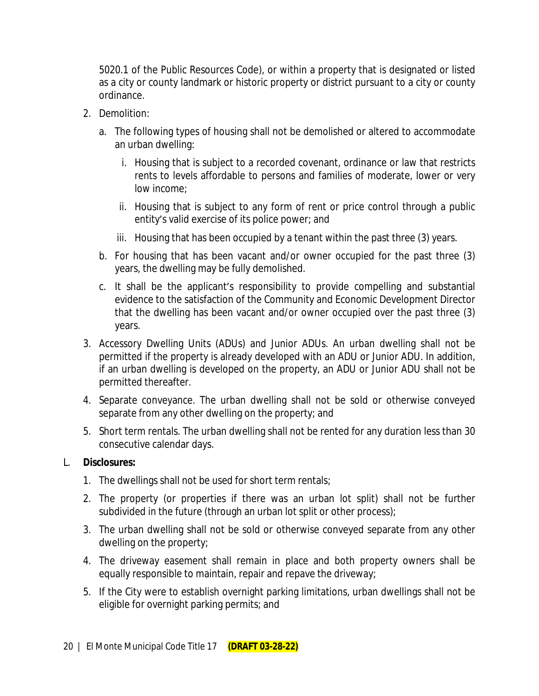5020.1 of the Public Resources Code), or within a property that is designated or listed as a city or county landmark or historic property or district pursuant to a city or county ordinance.

- 2. Demolition:
	- a. The following types of housing shall not be demolished or altered to accommodate an urban dwelling:
		- i. Housing that is subject to a recorded covenant, ordinance or law that restricts rents to levels affordable to persons and families of moderate, lower or very low income;
		- ii. Housing that is subject to any form of rent or price control through a public entity's valid exercise of its police power; and
		- iii. Housing that has been occupied by a tenant within the past three (3) years.
	- b. For housing that has been vacant and/or owner occupied for the past three (3) years, the dwelling may be fully demolished.
	- c. It shall be the applicant's responsibility to provide compelling and substantial evidence to the satisfaction of the Community and Economic Development Director that the dwelling has been vacant and/or owner occupied over the past three (3) years.
- 3. Accessory Dwelling Units (ADUs) and Junior ADUs. An urban dwelling shall not be permitted if the property is already developed with an ADU or Junior ADU. In addition, if an urban dwelling is developed on the property, an ADU or Junior ADU shall not be permitted thereafter.
- 4. Separate conveyance. The urban dwelling shall not be sold or otherwise conveyed separate from any other dwelling on the property; and
- 5. Short term rentals. The urban dwelling shall not be rented for any duration less than 30 consecutive calendar days.

#### L. **Disclosures:**

- 1. The dwellings shall not be used for short term rentals;
- 2. The property (or properties if there was an urban lot split) shall not be further subdivided in the future (through an urban lot split or other process);
- 3. The urban dwelling shall not be sold or otherwise conveyed separate from any other dwelling on the property;
- 4. The driveway easement shall remain in place and both property owners shall be equally responsible to maintain, repair and repave the driveway;
- 5. If the City were to establish overnight parking limitations, urban dwellings shall not be eligible for overnight parking permits; and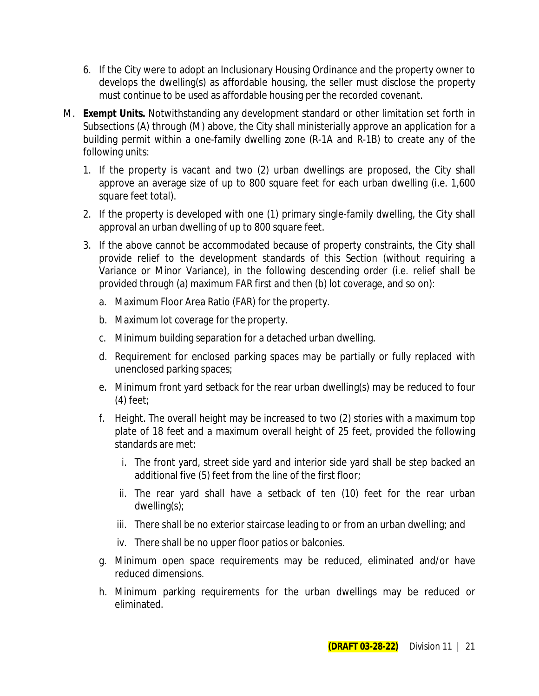- 6. If the City were to adopt an Inclusionary Housing Ordinance and the property owner to develops the dwelling(s) as affordable housing, the seller must disclose the property must continue to be used as affordable housing per the recorded covenant.
- M. **Exempt Units.** Notwithstanding any development standard or other limitation set forth in Subsections (A) through (M) above, the City shall ministerially approve an application for a building permit within a one-family dwelling zone (R-1A and R-1B) to create any of the following units:
	- 1. If the property is vacant and two (2) urban dwellings are proposed, the City shall approve an average size of up to 800 square feet for each urban dwelling (i.e. 1,600 square feet total).
	- 2. If the property is developed with one (1) primary single-family dwelling, the City shall approval an urban dwelling of up to 800 square feet.
	- 3. If the above cannot be accommodated because of property constraints, the City shall provide relief to the development standards of this Section (without requiring a Variance or Minor Variance), in the following descending order (i.e. relief shall be provided through (a) maximum FAR first and then (b) lot coverage, and so on):
		- a. Maximum Floor Area Ratio (FAR) for the property.
		- b. Maximum lot coverage for the property.
		- c. Minimum building separation for a detached urban dwelling.
		- d. Requirement for enclosed parking spaces may be partially or fully replaced with unenclosed parking spaces;
		- e. Minimum front yard setback for the rear urban dwelling(s) may be reduced to four (4) feet;
		- f. Height. The overall height may be increased to two (2) stories with a maximum top plate of 18 feet and a maximum overall height of 25 feet, provided the following standards are met:
			- i. The front yard, street side yard and interior side yard shall be step backed an additional five (5) feet from the line of the first floor;
			- ii. The rear yard shall have a setback of ten (10) feet for the rear urban dwelling(s);
			- iii. There shall be no exterior staircase leading to or from an urban dwelling; and
			- iv. There shall be no upper floor patios or balconies.
		- g. Minimum open space requirements may be reduced, eliminated and/or have reduced dimensions.
		- h. Minimum parking requirements for the urban dwellings may be reduced or eliminated.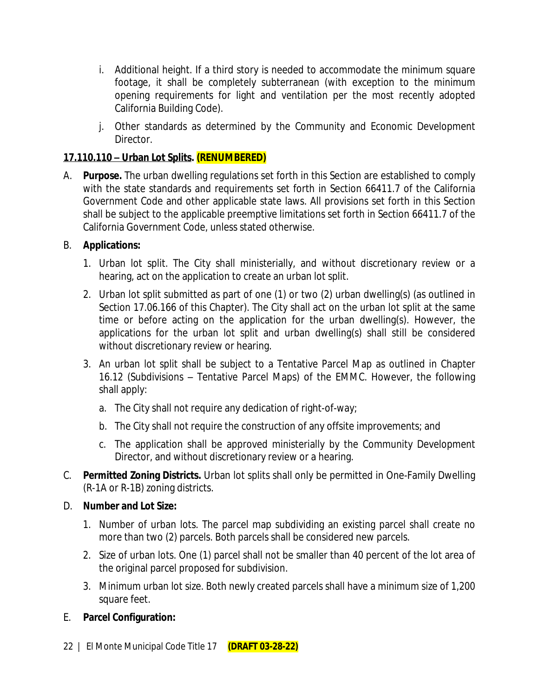- i. Additional height. If a third story is needed to accommodate the minimum square footage, it shall be completely subterranean (with exception to the minimum opening requirements for light and ventilation per the most recently adopted California Building Code).
- j. Other standards as determined by the Community and Economic Development Director.

### **17.110.110 – Urban Lot Splits. (RENUMBERED)**

A. **Purpose.** The urban dwelling regulations set forth in this Section are established to comply with the state standards and requirements set forth in Section 66411.7 of the California Government Code and other applicable state laws. All provisions set forth in this Section shall be subject to the applicable preemptive limitations set forth in Section 66411.7 of the California Government Code, unless stated otherwise.

### B. **Applications:**

- 1. Urban lot split. The City shall ministerially, and without discretionary review or a hearing, act on the application to create an urban lot split.
- 2. Urban lot split submitted as part of one (1) or two (2) urban dwelling(s) (as outlined in Section 17.06.166 of this Chapter). The City shall act on the urban lot split at the same time or before acting on the application for the urban dwelling(s). However, the applications for the urban lot split and urban dwelling(s) shall still be considered without discretionary review or hearing.
- 3. An urban lot split shall be subject to a Tentative Parcel Map as outlined in Chapter 16.12 (Subdivisions – Tentative Parcel Maps) of the EMMC. However, the following shall apply:
	- a. The City shall not require any dedication of right-of-way;
	- b. The City shall not require the construction of any offsite improvements; and
	- c. The application shall be approved ministerially by the Community Development Director, and without discretionary review or a hearing.
- C. **Permitted Zoning Districts.** Urban lot splits shall only be permitted in One-Family Dwelling (R-1A or R-1B) zoning districts.
- D. **Number and Lot Size:**
	- 1. Number of urban lots. The parcel map subdividing an existing parcel shall create no more than two (2) parcels. Both parcels shall be considered new parcels.
	- 2. Size of urban lots. One (1) parcel shall not be smaller than 40 percent of the lot area of the original parcel proposed for subdivision.
	- 3. Minimum urban lot size. Both newly created parcels shall have a minimum size of 1,200 square feet.
- E. **Parcel Configuration:**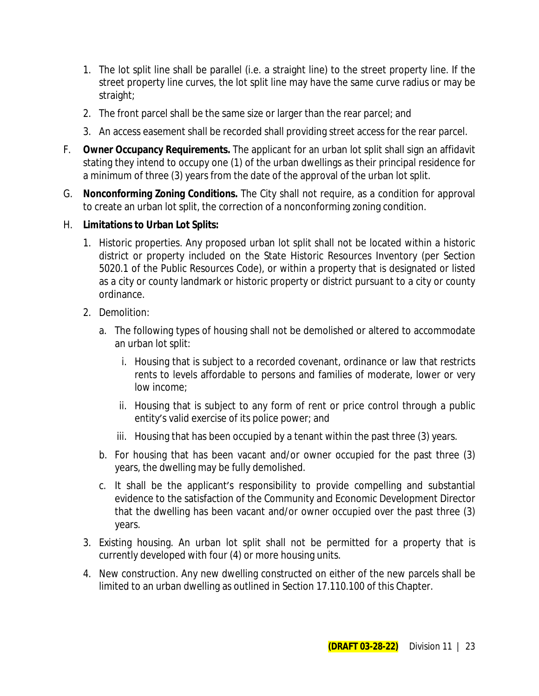- 1. The lot split line shall be parallel (i.e. a straight line) to the street property line. If the street property line curves, the lot split line may have the same curve radius or may be straight;
- 2. The front parcel shall be the same size or larger than the rear parcel; and
- 3. An access easement shall be recorded shall providing street access for the rear parcel.
- F. **Owner Occupancy Requirements.** The applicant for an urban lot split shall sign an affidavit stating they intend to occupy one (1) of the urban dwellings as their principal residence for a minimum of three (3) years from the date of the approval of the urban lot split.
- G. **Nonconforming Zoning Conditions.** The City shall not require, as a condition for approval to create an urban lot split, the correction of a nonconforming zoning condition.
- H. **Limitations to Urban Lot Splits:**
	- 1. Historic properties. Any proposed urban lot split shall not be located within a historic district or property included on the State Historic Resources Inventory (per Section 5020.1 of the Public Resources Code), or within a property that is designated or listed as a city or county landmark or historic property or district pursuant to a city or county ordinance.
	- 2. Demolition:
		- a. The following types of housing shall not be demolished or altered to accommodate an urban lot split:
			- i. Housing that is subject to a recorded covenant, ordinance or law that restricts rents to levels affordable to persons and families of moderate, lower or very low income;
			- ii. Housing that is subject to any form of rent or price control through a public entity's valid exercise of its police power; and
			- iii. Housing that has been occupied by a tenant within the past three (3) years.
		- b. For housing that has been vacant and/or owner occupied for the past three (3) years, the dwelling may be fully demolished.
		- c. It shall be the applicant's responsibility to provide compelling and substantial evidence to the satisfaction of the Community and Economic Development Director that the dwelling has been vacant and/or owner occupied over the past three (3) years.
	- 3. Existing housing. An urban lot split shall not be permitted for a property that is currently developed with four (4) or more housing units.
	- 4. New construction. Any new dwelling constructed on either of the new parcels shall be limited to an urban dwelling as outlined in Section 17.110.100 of this Chapter.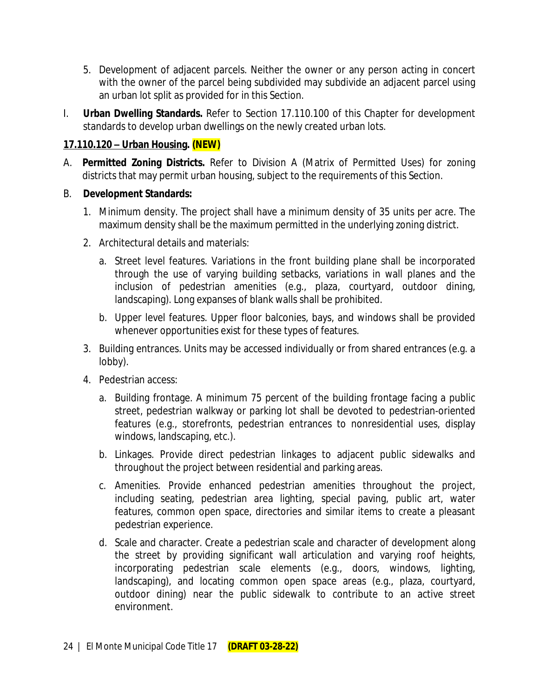- 5. Development of adjacent parcels. Neither the owner or any person acting in concert with the owner of the parcel being subdivided may subdivide an adjacent parcel using an urban lot split as provided for in this Section.
- I. **Urban Dwelling Standards.** Refer to Section 17.110.100 of this Chapter for development standards to develop urban dwellings on the newly created urban lots.

### **17.110.120 – Urban Housing. (NEW)**

- A. **Permitted Zoning Districts.** Refer to Division A (Matrix of Permitted Uses) for zoning districts that may permit urban housing, subject to the requirements of this Section.
- B. **Development Standards:**
	- 1. Minimum density. The project shall have a minimum density of 35 units per acre. The maximum density shall be the maximum permitted in the underlying zoning district.
	- 2. Architectural details and materials:
		- a. Street level features. Variations in the front building plane shall be incorporated through the use of varying building setbacks, variations in wall planes and the inclusion of pedestrian amenities (e.g., plaza, courtyard, outdoor dining, landscaping). Long expanses of blank walls shall be prohibited.
		- b. Upper level features. Upper floor balconies, bays, and windows shall be provided whenever opportunities exist for these types of features.
	- 3. Building entrances. Units may be accessed individually or from shared entrances (e.g. a lobby).
	- 4. Pedestrian access:
		- a. Building frontage. A minimum 75 percent of the building frontage facing a public street, pedestrian walkway or parking lot shall be devoted to pedestrian-oriented features (e.g., storefronts, pedestrian entrances to nonresidential uses, display windows, landscaping, etc.).
		- b. Linkages. Provide direct pedestrian linkages to adjacent public sidewalks and throughout the project between residential and parking areas.
		- c. Amenities. Provide enhanced pedestrian amenities throughout the project, including seating, pedestrian area lighting, special paving, public art, water features, common open space, directories and similar items to create a pleasant pedestrian experience.
		- d. Scale and character. Create a pedestrian scale and character of development along the street by providing significant wall articulation and varying roof heights, incorporating pedestrian scale elements (e.g., doors, windows, lighting, landscaping), and locating common open space areas (e.g., plaza, courtyard, outdoor dining) near the public sidewalk to contribute to an active street environment.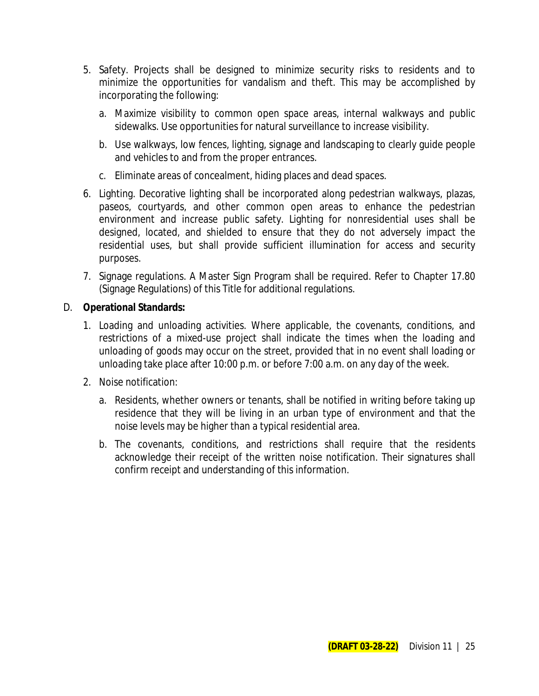- 5. Safety. Projects shall be designed to minimize security risks to residents and to minimize the opportunities for vandalism and theft. This may be accomplished by incorporating the following:
	- a. Maximize visibility to common open space areas, internal walkways and public sidewalks. Use opportunities for natural surveillance to increase visibility.
	- b. Use walkways, low fences, lighting, signage and landscaping to clearly guide people and vehicles to and from the proper entrances.
	- c. Eliminate areas of concealment, hiding places and dead spaces.
- 6. Lighting. Decorative lighting shall be incorporated along pedestrian walkways, plazas, paseos, courtyards, and other common open areas to enhance the pedestrian environment and increase public safety. Lighting for nonresidential uses shall be designed, located, and shielded to ensure that they do not adversely impact the residential uses, but shall provide sufficient illumination for access and security purposes.
- 7. Signage regulations. A Master Sign Program shall be required. Refer to Chapter 17.80 (Signage Regulations) of this Title for additional regulations.

#### D. **Operational Standards:**

- 1. Loading and unloading activities. Where applicable, the covenants, conditions, and restrictions of a mixed-use project shall indicate the times when the loading and unloading of goods may occur on the street, provided that in no event shall loading or unloading take place after 10:00 p.m. or before 7:00 a.m. on any day of the week.
- 2. Noise notification:
	- a. Residents, whether owners or tenants, shall be notified in writing before taking up residence that they will be living in an urban type of environment and that the noise levels may be higher than a typical residential area.
	- b. The covenants, conditions, and restrictions shall require that the residents acknowledge their receipt of the written noise notification. Their signatures shall confirm receipt and understanding of this information.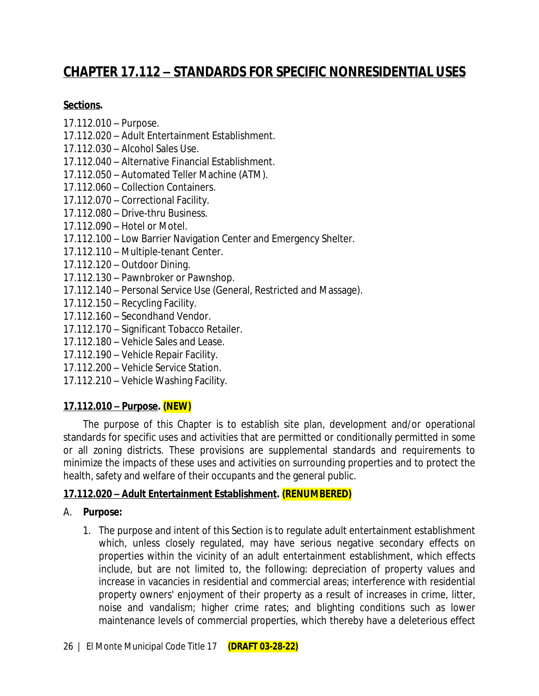# **CHAPTER 17.112 – STANDARDS FOR SPECIFIC NONRESIDENTIAL USES**

### **Sections.**

- 17.112.010 Purpose.
- 17.112.020 Adult Entertainment Establishment.
- 17.112.030 Alcohol Sales Use.
- 17.112.040 Alternative Financial Establishment.
- 17.112.050 Automated Teller Machine (ATM).
- 17.112.060 Collection Containers.
- 17.112.070 Correctional Facility.
- 17.112.080 Drive-thru Business.
- 17.112.090 Hotel or Motel.
- 17.112.100 Low Barrier Navigation Center and Emergency Shelter.
- 17.112.110 Multiple-tenant Center.
- 17.112.120 Outdoor Dining.
- 17.112.130 Pawnbroker or Pawnshop.
- 17.112.140 Personal Service Use (General, Restricted and Massage).
- 17.112.150 Recycling Facility.
- 17.112.160 Secondhand Vendor.
- 17.112.170 Significant Tobacco Retailer.
- 17.112.180 Vehicle Sales and Lease.
- 17.112.190 Vehicle Repair Facility.
- 17.112.200 Vehicle Service Station.
- 17.112.210 Vehicle Washing Facility.

### **17.112.010 – Purpose. (NEW)**

The purpose of this Chapter is to establish site plan, development and/or operational standards for specific uses and activities that are permitted or conditionally permitted in some or all zoning districts. These provisions are supplemental standards and requirements to minimize the impacts of these uses and activities on surrounding properties and to protect the health, safety and welfare of their occupants and the general public.

### **17.112.020 – Adult Entertainment Establishment. (RENUMBERED)**

### A. **Purpose:**

1. The purpose and intent of this Section is to regulate adult entertainment establishment which, unless closely regulated, may have serious negative secondary effects on properties within the vicinity of an adult entertainment establishment, which effects include, but are not limited to, the following: depreciation of property values and increase in vacancies in residential and commercial areas; interference with residential property owners' enjoyment of their property as a result of increases in crime, litter, noise and vandalism; higher crime rates; and blighting conditions such as lower maintenance levels of commercial properties, which thereby have a deleterious effect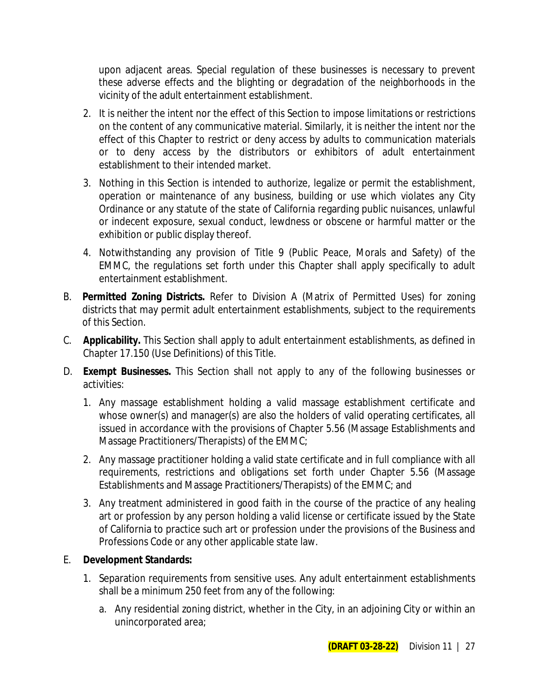upon adjacent areas. Special regulation of these businesses is necessary to prevent these adverse effects and the blighting or degradation of the neighborhoods in the vicinity of the adult entertainment establishment.

- 2. It is neither the intent nor the effect of this Section to impose limitations or restrictions on the content of any communicative material. Similarly, it is neither the intent nor the effect of this Chapter to restrict or deny access by adults to communication materials or to deny access by the distributors or exhibitors of adult entertainment establishment to their intended market.
- 3. Nothing in this Section is intended to authorize, legalize or permit the establishment, operation or maintenance of any business, building or use which violates any City Ordinance or any statute of the state of California regarding public nuisances, unlawful or indecent exposure, sexual conduct, lewdness or obscene or harmful matter or the exhibition or public display thereof.
- 4. Notwithstanding any provision of Title 9 (Public Peace, Morals and Safety) of the EMMC, the regulations set forth under this Chapter shall apply specifically to adult entertainment establishment.
- B. **Permitted Zoning Districts.** Refer to Division A (Matrix of Permitted Uses) for zoning districts that may permit adult entertainment establishments, subject to the requirements of this Section.
- C. **Applicability.** This Section shall apply to adult entertainment establishments, as defined in Chapter 17.150 (Use Definitions) of this Title.
- D. **Exempt Businesses.** This Section shall not apply to any of the following businesses or activities:
	- 1. Any massage establishment holding a valid massage establishment certificate and whose owner(s) and manager(s) are also the holders of valid operating certificates, all issued in accordance with the provisions of Chapter 5.56 (Massage Establishments and Massage Practitioners/Therapists) of the EMMC;
	- 2. Any massage practitioner holding a valid state certificate and in full compliance with all requirements, restrictions and obligations set forth under Chapter 5.56 (Massage Establishments and Massage Practitioners/Therapists) of the EMMC; and
	- 3. Any treatment administered in good faith in the course of the practice of any healing art or profession by any person holding a valid license or certificate issued by the State of California to practice such art or profession under the provisions of the Business and Professions Code or any other applicable state law.

### E. **Development Standards:**

- 1. Separation requirements from sensitive uses. Any adult entertainment establishments shall be a minimum 250 feet from any of the following:
	- a. Any residential zoning district, whether in the City, in an adjoining City or within an unincorporated area;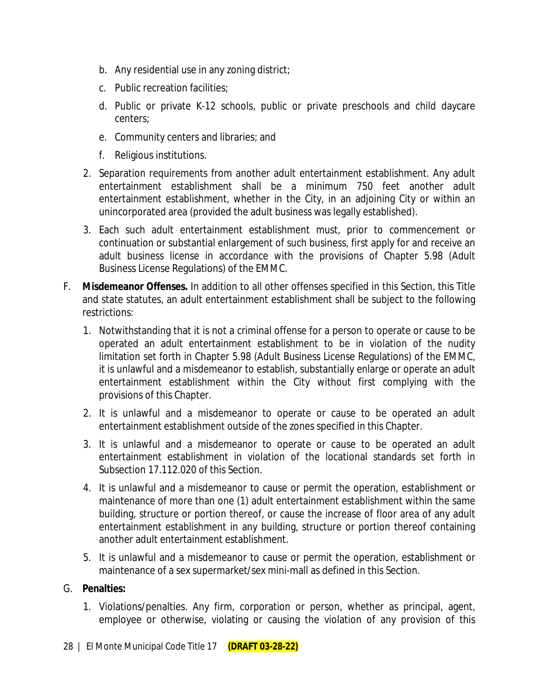- b. Any residential use in any zoning district;
- c. Public recreation facilities;
- d. Public or private K-12 schools, public or private preschools and child daycare centers;
- e. Community centers and libraries; and
- f. Religious institutions.
- 2. Separation requirements from another adult entertainment establishment. Any adult entertainment establishment shall be a minimum 750 feet another adult entertainment establishment, whether in the City, in an adjoining City or within an unincorporated area (provided the adult business was legally established).
- 3. Each such adult entertainment establishment must, prior to commencement or continuation or substantial enlargement of such business, first apply for and receive an adult business license in accordance with the provisions of Chapter 5.98 (Adult Business License Regulations) of the EMMC.
- F. **Misdemeanor Offenses.** In addition to all other offenses specified in this Section, this Title and state statutes, an adult entertainment establishment shall be subject to the following restrictions:
	- 1. Notwithstanding that it is not a criminal offense for a person to operate or cause to be operated an adult entertainment establishment to be in violation of the nudity limitation set forth in Chapter 5.98 (Adult Business License Regulations) of the EMMC, it is unlawful and a misdemeanor to establish, substantially enlarge or operate an adult entertainment establishment within the City without first complying with the provisions of this Chapter.
	- 2. It is unlawful and a misdemeanor to operate or cause to be operated an adult entertainment establishment outside of the zones specified in this Chapter.
	- 3. It is unlawful and a misdemeanor to operate or cause to be operated an adult entertainment establishment in violation of the locational standards set forth in Subsection 17.112.020 of this Section.
	- 4. It is unlawful and a misdemeanor to cause or permit the operation, establishment or maintenance of more than one (1) adult entertainment establishment within the same building, structure or portion thereof, or cause the increase of floor area of any adult entertainment establishment in any building, structure or portion thereof containing another adult entertainment establishment.
	- 5. It is unlawful and a misdemeanor to cause or permit the operation, establishment or maintenance of a sex supermarket/sex mini-mall as defined in this Section.

### G. **Penalties:**

1. Violations/penalties. Any firm, corporation or person, whether as principal, agent, employee or otherwise, violating or causing the violation of any provision of this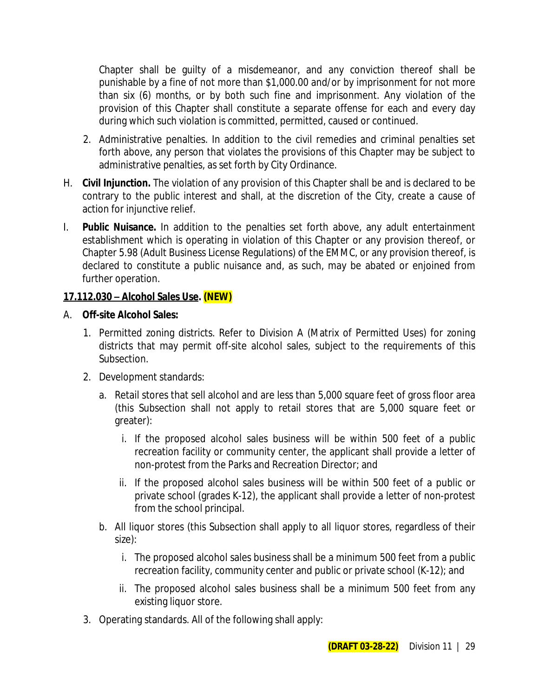Chapter shall be guilty of a misdemeanor, and any conviction thereof shall be punishable by a fine of not more than \$1,000.00 and/or by imprisonment for not more than six (6) months, or by both such fine and imprisonment. Any violation of the provision of this Chapter shall constitute a separate offense for each and every day during which such violation is committed, permitted, caused or continued.

- 2. Administrative penalties. In addition to the civil remedies and criminal penalties set forth above, any person that violates the provisions of this Chapter may be subject to administrative penalties, as set forth by City Ordinance.
- H. **Civil Injunction.** The violation of any provision of this Chapter shall be and is declared to be contrary to the public interest and shall, at the discretion of the City, create a cause of action for injunctive relief.
- I. **Public Nuisance.** In addition to the penalties set forth above, any adult entertainment establishment which is operating in violation of this Chapter or any provision thereof, or Chapter 5.98 (Adult Business License Regulations) of the EMMC, or any provision thereof, is declared to constitute a public nuisance and, as such, may be abated or enjoined from further operation.

### **17.112.030 – Alcohol Sales Use. (NEW)**

### A. **Off-site Alcohol Sales:**

- 1. Permitted zoning districts. Refer to Division A (Matrix of Permitted Uses) for zoning districts that may permit off-site alcohol sales, subject to the requirements of this Subsection.
- 2. Development standards:
	- a. Retail stores that sell alcohol and are less than 5,000 square feet of gross floor area (this Subsection shall not apply to retail stores that are 5,000 square feet or greater):
		- i. If the proposed alcohol sales business will be within 500 feet of a public recreation facility or community center, the applicant shall provide a letter of non-protest from the Parks and Recreation Director; and
		- ii. If the proposed alcohol sales business will be within 500 feet of a public or private school (grades K-12), the applicant shall provide a letter of non-protest from the school principal.
	- b. All liquor stores (this Subsection shall apply to all liquor stores, regardless of their size):
		- i. The proposed alcohol sales business shall be a minimum 500 feet from a public recreation facility, community center and public or private school (K-12); and
		- ii. The proposed alcohol sales business shall be a minimum 500 feet from any existing liquor store.
- 3. Operating standards. All of the following shall apply: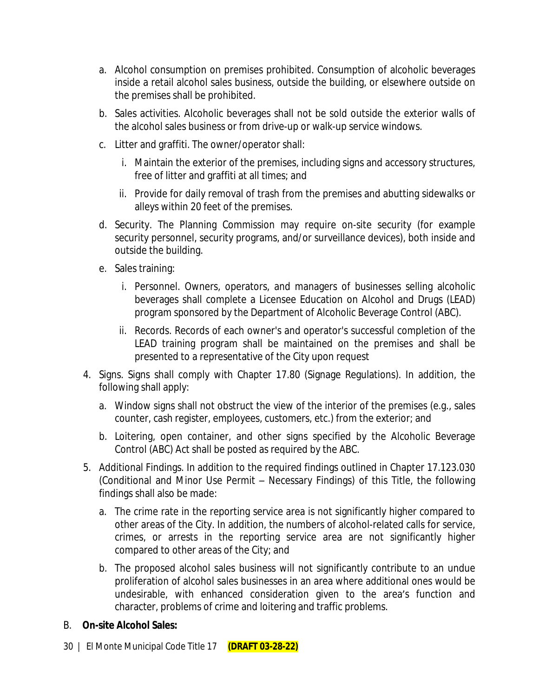- a. Alcohol consumption on premises prohibited. Consumption of alcoholic beverages inside a retail alcohol sales business, outside the building, or elsewhere outside on the premises shall be prohibited.
- b. Sales activities. Alcoholic beverages shall not be sold outside the exterior walls of the alcohol sales business or from drive-up or walk-up service windows.
- c. Litter and graffiti. The owner/operator shall:
	- i. Maintain the exterior of the premises, including signs and accessory structures, free of litter and graffiti at all times; and
	- ii. Provide for daily removal of trash from the premises and abutting sidewalks or alleys within 20 feet of the premises.
- d. Security. The Planning Commission may require on-site security (for example security personnel, security programs, and/or surveillance devices), both inside and outside the building.
- e. Sales training:
	- i. Personnel. Owners, operators, and managers of businesses selling alcoholic beverages shall complete a Licensee Education on Alcohol and Drugs (LEAD) program sponsored by the Department of Alcoholic Beverage Control (ABC).
	- ii. Records. Records of each owner's and operator's successful completion of the LEAD training program shall be maintained on the premises and shall be presented to a representative of the City upon request
- 4. Signs. Signs shall comply with Chapter 17.80 (Signage Regulations). In addition, the following shall apply:
	- a. Window signs shall not obstruct the view of the interior of the premises (e.g., sales counter, cash register, employees, customers, etc.) from the exterior; and
	- b. Loitering, open container, and other signs specified by the Alcoholic Beverage Control (ABC) Act shall be posted as required by the ABC.
- 5. Additional Findings. In addition to the required findings outlined in Chapter 17.123.030 (Conditional and Minor Use Permit – Necessary Findings) of this Title, the following findings shall also be made:
	- a. The crime rate in the reporting service area is not significantly higher compared to other areas of the City. In addition, the numbers of alcohol-related calls for service, crimes, or arrests in the reporting service area are not significantly higher compared to other areas of the City; and
	- b. The proposed alcohol sales business will not significantly contribute to an undue proliferation of alcohol sales businesses in an area where additional ones would be undesirable, with enhanced consideration given to the area's function and character, problems of crime and loitering and traffic problems.
- B. **On-site Alcohol Sales:**
- 30 | El Monte Municipal Code Title 17 **(DRAFT 03-28-22)**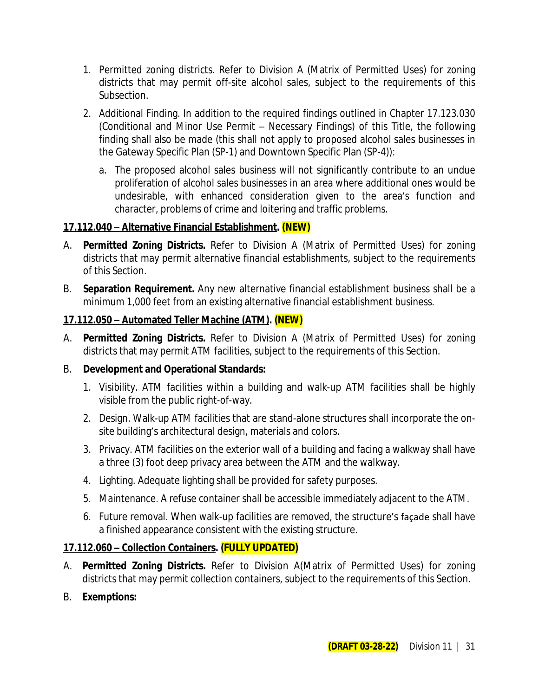- 1. Permitted zoning districts. Refer to Division A (Matrix of Permitted Uses) for zoning districts that may permit off-site alcohol sales, subject to the requirements of this Subsection.
- 2. Additional Finding. In addition to the required findings outlined in Chapter 17.123.030 (Conditional and Minor Use Permit – Necessary Findings) of this Title, the following finding shall also be made (this shall not apply to proposed alcohol sales businesses in the Gateway Specific Plan (SP-1) and Downtown Specific Plan (SP-4)):
	- a. The proposed alcohol sales business will not significantly contribute to an undue proliferation of alcohol sales businesses in an area where additional ones would be undesirable, with enhanced consideration given to the area's function and character, problems of crime and loitering and traffic problems.

### **17.112.040 – Alternative Financial Establishment. (NEW)**

- A. **Permitted Zoning Districts.** Refer to Division A (Matrix of Permitted Uses) for zoning districts that may permit alternative financial establishments, subject to the requirements of this Section.
- B. **Separation Requirement.** Any new alternative financial establishment business shall be a minimum 1,000 feet from an existing alternative financial establishment business.

### **17.112.050 – Automated Teller Machine (ATM). (NEW)**

A. **Permitted Zoning Districts.** Refer to Division A (Matrix of Permitted Uses) for zoning districts that may permit ATM facilities, subject to the requirements of this Section.

### B. **Development and Operational Standards:**

- 1. Visibility. ATM facilities within a building and walk-up ATM facilities shall be highly visible from the public right-of-way.
- 2. Design. Walk-up ATM facilities that are stand-alone structures shall incorporate the onsite building's architectural design, materials and colors.
- 3. Privacy. ATM facilities on the exterior wall of a building and facing a walkway shall have a three (3) foot deep privacy area between the ATM and the walkway.
- 4. Lighting. Adequate lighting shall be provided for safety purposes.
- 5. Maintenance. A refuse container shall be accessible immediately adjacent to the ATM.
- 6. Future removal. When walk-up facilities are removed, the structure's façade shall have a finished appearance consistent with the existing structure.

### **17.112.060 – Collection Containers. (FULLY UPDATED)**

- A. **Permitted Zoning Districts.** Refer to Division A(Matrix of Permitted Uses) for zoning districts that may permit collection containers, subject to the requirements of this Section.
- B. **Exemptions:**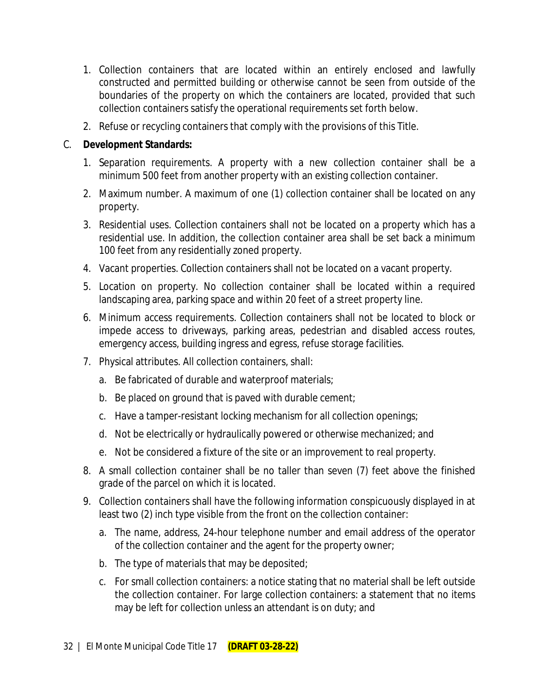- 1. Collection containers that are located within an entirely enclosed and lawfully constructed and permitted building or otherwise cannot be seen from outside of the boundaries of the property on which the containers are located, provided that such collection containers satisfy the operational requirements set forth below.
- 2. Refuse or recycling containers that comply with the provisions of this Title.

### C. **Development Standards:**

- 1. Separation requirements. A property with a new collection container shall be a minimum 500 feet from another property with an existing collection container.
- 2. Maximum number. A maximum of one (1) collection container shall be located on any property.
- 3. Residential uses. Collection containers shall not be located on a property which has a residential use. In addition, the collection container area shall be set back a minimum 100 feet from any residentially zoned property.
- 4. Vacant properties. Collection containers shall not be located on a vacant property.
- 5. Location on property. No collection container shall be located within a required landscaping area, parking space and within 20 feet of a street property line.
- 6. Minimum access requirements. Collection containers shall not be located to block or impede access to driveways, parking areas, pedestrian and disabled access routes, emergency access, building ingress and egress, refuse storage facilities.
- 7. Physical attributes. All collection containers, shall:
	- a. Be fabricated of durable and waterproof materials;
	- b. Be placed on ground that is paved with durable cement;
	- c. Have a tamper-resistant locking mechanism for all collection openings;
	- d. Not be electrically or hydraulically powered or otherwise mechanized; and
	- e. Not be considered a fixture of the site or an improvement to real property.
- 8. A small collection container shall be no taller than seven (7) feet above the finished grade of the parcel on which it is located.
- 9. Collection containers shall have the following information conspicuously displayed in at least two (2) inch type visible from the front on the collection container:
	- a. The name, address, 24-hour telephone number and email address of the operator of the collection container and the agent for the property owner;
	- b. The type of materials that may be deposited;
	- c. For small collection containers: a notice stating that no material shall be left outside the collection container. For large collection containers: a statement that no items may be left for collection unless an attendant is on duty; and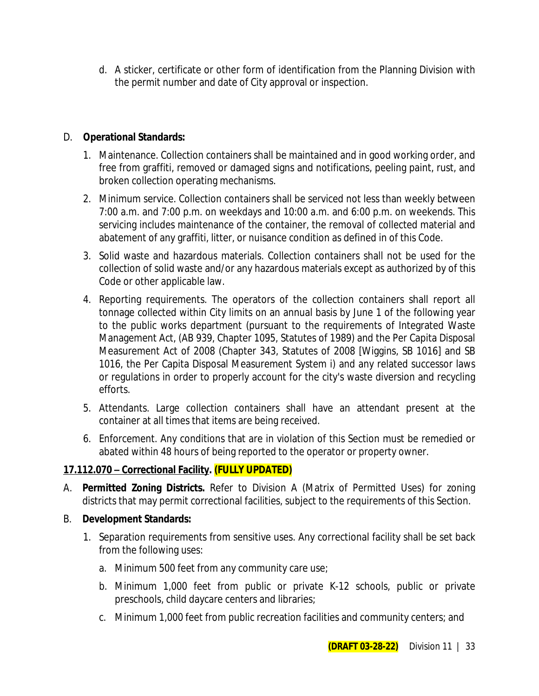d. A sticker, certificate or other form of identification from the Planning Division with the permit number and date of City approval or inspection.

### D. **Operational Standards:**

- 1. Maintenance. Collection containers shall be maintained and in good working order, and free from graffiti, removed or damaged signs and notifications, peeling paint, rust, and broken collection operating mechanisms.
- 2. Minimum service. Collection containers shall be serviced not less than weekly between 7:00 a.m. and 7:00 p.m. on weekdays and 10:00 a.m. and 6:00 p.m. on weekends. This servicing includes maintenance of the container, the removal of collected material and abatement of any graffiti, litter, or nuisance condition as defined in of this Code.
- 3. Solid waste and hazardous materials. Collection containers shall not be used for the collection of solid waste and/or any hazardous materials except as authorized by of this Code or other applicable law.
- 4. Reporting requirements. The operators of the collection containers shall report all tonnage collected within City limits on an annual basis by June 1 of the following year to the public works department (pursuant to the requirements of Integrated Waste Management Act, (AB 939, Chapter 1095, Statutes of 1989) and the Per Capita Disposal Measurement Act of 2008 (Chapter 343, Statutes of 2008 [Wiggins, SB 1016] and SB 1016, the Per Capita Disposal Measurement System i) and any related successor laws or regulations in order to properly account for the city's waste diversion and recycling efforts.
- 5. Attendants. Large collection containers shall have an attendant present at the container at all times that items are being received.
- 6. Enforcement. Any conditions that are in violation of this Section must be remedied or abated within 48 hours of being reported to the operator or property owner.

### **17.112.070 – Correctional Facility. (FULLY UPDATED)**

- A. **Permitted Zoning Districts.** Refer to Division A (Matrix of Permitted Uses) for zoning districts that may permit correctional facilities, subject to the requirements of this Section.
- B. **Development Standards:**
	- 1. Separation requirements from sensitive uses. Any correctional facility shall be set back from the following uses:
		- a. Minimum 500 feet from any community care use;
		- b. Minimum 1,000 feet from public or private K-12 schools, public or private preschools, child daycare centers and libraries;
		- c. Minimum 1,000 feet from public recreation facilities and community centers; and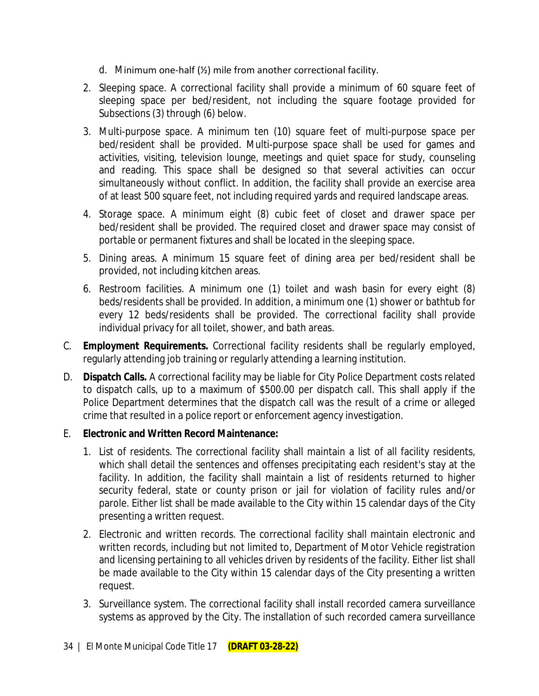- d. Minimum one-half (½) mile from another correctional facility.
- 2. Sleeping space. A correctional facility shall provide a minimum of 60 square feet of sleeping space per bed/resident, not including the square footage provided for Subsections (3) through (6) below.
- 3. Multi-purpose space. A minimum ten (10) square feet of multi-purpose space per bed/resident shall be provided. Multi-purpose space shall be used for games and activities, visiting, television lounge, meetings and quiet space for study, counseling and reading. This space shall be designed so that several activities can occur simultaneously without conflict. In addition, the facility shall provide an exercise area of at least 500 square feet, not including required yards and required landscape areas.
- 4. Storage space. A minimum eight (8) cubic feet of closet and drawer space per bed/resident shall be provided. The required closet and drawer space may consist of portable or permanent fixtures and shall be located in the sleeping space.
- 5. Dining areas. A minimum 15 square feet of dining area per bed/resident shall be provided, not including kitchen areas.
- 6. Restroom facilities. A minimum one (1) toilet and wash basin for every eight (8) beds/residents shall be provided. In addition, a minimum one (1) shower or bathtub for every 12 beds/residents shall be provided. The correctional facility shall provide individual privacy for all toilet, shower, and bath areas.
- C. **Employment Requirements.** Correctional facility residents shall be regularly employed, regularly attending job training or regularly attending a learning institution.
- D. **Dispatch Calls.** A correctional facility may be liable for City Police Department costs related to dispatch calls, up to a maximum of \$500.00 per dispatch call. This shall apply if the Police Department determines that the dispatch call was the result of a crime or alleged crime that resulted in a police report or enforcement agency investigation.

### E. **Electronic and Written Record Maintenance:**

- 1. List of residents. The correctional facility shall maintain a list of all facility residents, which shall detail the sentences and offenses precipitating each resident's stay at the facility. In addition, the facility shall maintain a list of residents returned to higher security federal, state or county prison or jail for violation of facility rules and/or parole. Either list shall be made available to the City within 15 calendar days of the City presenting a written request.
- 2. Electronic and written records. The correctional facility shall maintain electronic and written records, including but not limited to, Department of Motor Vehicle registration and licensing pertaining to all vehicles driven by residents of the facility. Either list shall be made available to the City within 15 calendar days of the City presenting a written request.
- 3. Surveillance system. The correctional facility shall install recorded camera surveillance systems as approved by the City. The installation of such recorded camera surveillance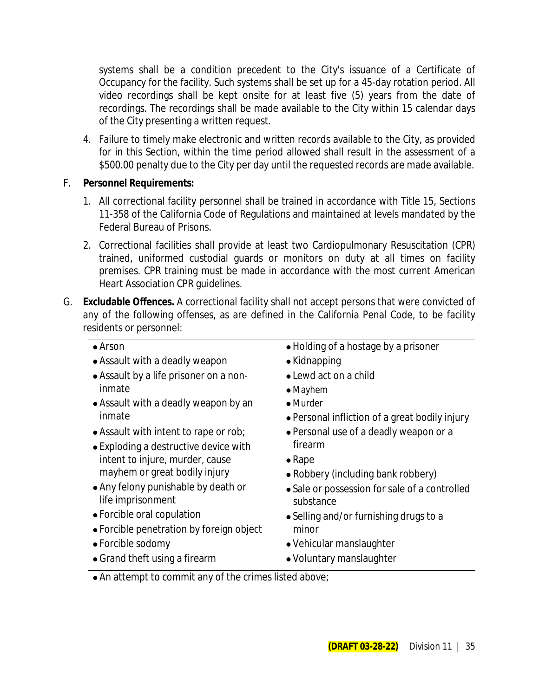systems shall be a condition precedent to the City's issuance of a Certificate of Occupancy for the facility. Such systems shall be set up for a 45-day rotation period. All video recordings shall be kept onsite for at least five (5) years from the date of recordings. The recordings shall be made available to the City within 15 calendar days of the City presenting a written request.

4. Failure to timely make electronic and written records available to the City, as provided for in this Section, within the time period allowed shall result in the assessment of a \$500.00 penalty due to the City per day until the requested records are made available.

### F. **Personnel Requirements:**

- 1. All correctional facility personnel shall be trained in accordance with Title 15, Sections 11-358 of the California Code of Regulations and maintained at levels mandated by the Federal Bureau of Prisons.
- 2. Correctional facilities shall provide at least two Cardiopulmonary Resuscitation (CPR) trained, uniformed custodial guards or monitors on duty at all times on facility premises. CPR training must be made in accordance with the most current American Heart Association CPR guidelines.
- G. **Excludable Offences.** A correctional facility shall not accept persons that were convicted of any of the following offenses, as are defined in the California Penal Code, to be facility residents or personnel:

### Arson

- Assault with a deadly weapon
- Assault by a life prisoner on a noninmate
- Assault with a deadly weapon by an inmate
- Assault with intent to rape or rob;
- Exploding a destructive device with intent to injure, murder, cause mayhem or great bodily injury
- Any felony punishable by death or life imprisonment
- Forcible oral copulation
- Forcible penetration by foreign object
- Forcible sodomy
- Grand theft using a firearm
- Holding of a hostage by a prisoner
- Kidnapping
- Lewd act on a child
- Mayhem
- Murder
- Personal infliction of a great bodily injury
- Personal use of a deadly weapon or a firearm
- $\bullet$  Rape
- Robbery (including bank robbery)
- Sale or possession for sale of a controlled substance
- Selling and/or furnishing drugs to a minor
- Vehicular manslaughter
- Voluntary manslaughter
- An attempt to commit any of the crimes listed above;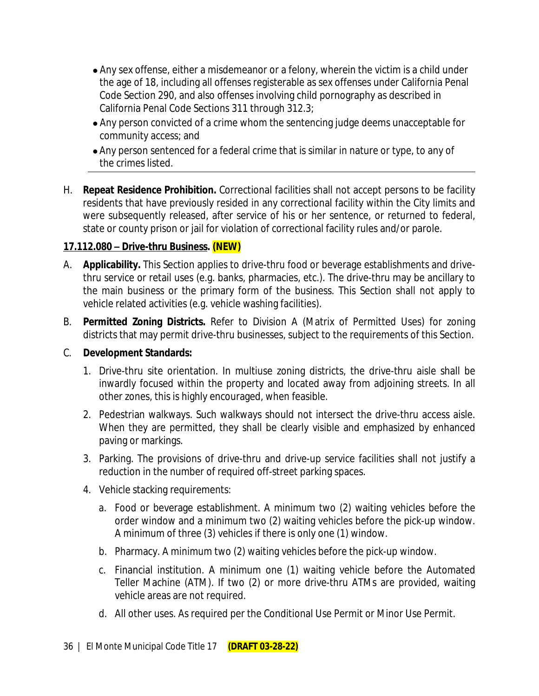- Any sex offense, either a misdemeanor or a felony, wherein the victim is a child under the age of 18, including all offenses registerable as sex offenses under California Penal Code Section 290, and also offenses involving child pornography as described in California Penal Code Sections 311 through 312.3;
- Any person convicted of a crime whom the sentencing judge deems unacceptable for community access; and
- Any person sentenced for a federal crime that is similar in nature or type, to any of the crimes listed.
- H. **Repeat Residence Prohibition.** Correctional facilities shall not accept persons to be facility residents that have previously resided in any correctional facility within the City limits and were subsequently released, after service of his or her sentence, or returned to federal, state or county prison or jail for violation of correctional facility rules and/or parole.

### **17.112.080 – Drive-thru Business. (NEW)**

- A. **Applicability.** This Section applies to drive-thru food or beverage establishments and drivethru service or retail uses (e.g. banks, pharmacies, etc.). The drive-thru may be ancillary to the main business or the primary form of the business. This Section shall not apply to vehicle related activities (e.g. vehicle washing facilities).
- B. **Permitted Zoning Districts.** Refer to Division A (Matrix of Permitted Uses) for zoning districts that may permit drive-thru businesses, subject to the requirements of this Section.

### C. **Development Standards:**

- 1. Drive-thru site orientation. In multiuse zoning districts, the drive-thru aisle shall be inwardly focused within the property and located away from adjoining streets. In all other zones, this is highly encouraged, when feasible.
- 2. Pedestrian walkways. Such walkways should not intersect the drive-thru access aisle. When they are permitted, they shall be clearly visible and emphasized by enhanced paving or markings.
- 3. Parking. The provisions of drive-thru and drive-up service facilities shall not justify a reduction in the number of required off-street parking spaces.
- 4. Vehicle stacking requirements:
	- a. Food or beverage establishment. A minimum two (2) waiting vehicles before the order window and a minimum two (2) waiting vehicles before the pick-up window. A minimum of three (3) vehicles if there is only one (1) window.
	- b. Pharmacy. A minimum two (2) waiting vehicles before the pick-up window.
	- c. Financial institution. A minimum one (1) waiting vehicle before the Automated Teller Machine (ATM). If two (2) or more drive-thru ATMs are provided, waiting vehicle areas are not required.
	- d. All other uses. As required per the Conditional Use Permit or Minor Use Permit.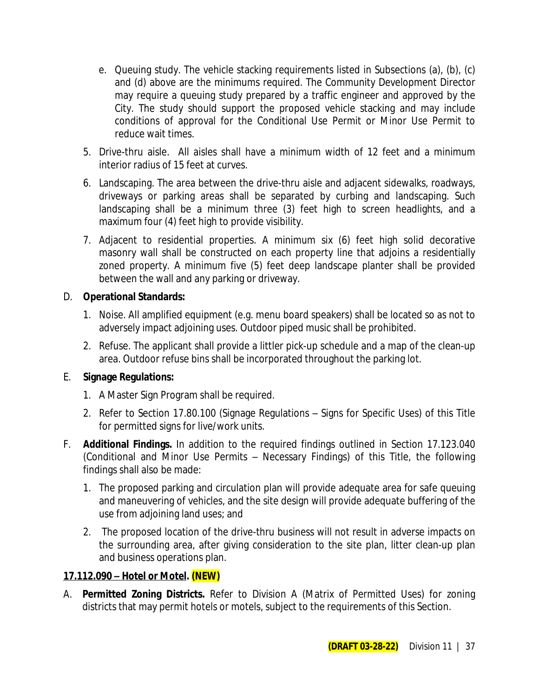- e. Queuing study. The vehicle stacking requirements listed in Subsections (a), (b), (c) and (d) above are the minimums required. The Community Development Director may require a queuing study prepared by a traffic engineer and approved by the City. The study should support the proposed vehicle stacking and may include conditions of approval for the Conditional Use Permit or Minor Use Permit to reduce wait times.
- 5. Drive-thru aisle. All aisles shall have a minimum width of 12 feet and a minimum interior radius of 15 feet at curves.
- 6. Landscaping. The area between the drive-thru aisle and adjacent sidewalks, roadways, driveways or parking areas shall be separated by curbing and landscaping. Such landscaping shall be a minimum three (3) feet high to screen headlights, and a maximum four (4) feet high to provide visibility.
- 7. Adjacent to residential properties. A minimum six (6) feet high solid decorative masonry wall shall be constructed on each property line that adjoins a residentially zoned property. A minimum five (5) feet deep landscape planter shall be provided between the wall and any parking or driveway.

### D. **Operational Standards:**

- 1. Noise. All amplified equipment (e.g. menu board speakers) shall be located so as not to adversely impact adjoining uses. Outdoor piped music shall be prohibited.
- 2. Refuse. The applicant shall provide a littler pick-up schedule and a map of the clean-up area. Outdoor refuse bins shall be incorporated throughout the parking lot.

### E. **Signage Regulations:**

- 1. A Master Sign Program shall be required.
- 2. Refer to Section 17.80.100 (Signage Regulations Signs for Specific Uses) of this Title for permitted signs for live/work units.
- F. **Additional Findings.** In addition to the required findings outlined in Section 17.123.040 (Conditional and Minor Use Permits – Necessary Findings) of this Title, the following findings shall also be made:
	- 1. The proposed parking and circulation plan will provide adequate area for safe queuing and maneuvering of vehicles, and the site design will provide adequate buffering of the use from adjoining land uses; and
	- 2. The proposed location of the drive-thru business will not result in adverse impacts on the surrounding area, after giving consideration to the site plan, litter clean-up plan and business operations plan.

#### **17.112.090 – Hotel or Motel. (NEW)**

A. **Permitted Zoning Districts.** Refer to Division A (Matrix of Permitted Uses) for zoning districts that may permit hotels or motels, subject to the requirements of this Section.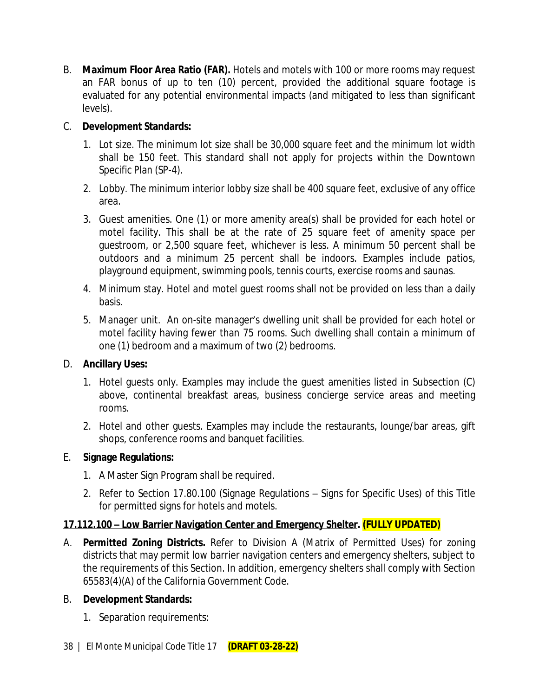B. **Maximum Floor Area Ratio (FAR).** Hotels and motels with 100 or more rooms may request an FAR bonus of up to ten (10) percent, provided the additional square footage is evaluated for any potential environmental impacts (and mitigated to less than significant levels).

### C. **Development Standards:**

- 1. Lot size. The minimum lot size shall be 30,000 square feet and the minimum lot width shall be 150 feet. This standard shall not apply for projects within the Downtown Specific Plan (SP-4).
- 2. Lobby. The minimum interior lobby size shall be 400 square feet, exclusive of any office area.
- 3. Guest amenities. One (1) or more amenity area(s) shall be provided for each hotel or motel facility. This shall be at the rate of 25 square feet of amenity space per guestroom, or 2,500 square feet, whichever is less. A minimum 50 percent shall be outdoors and a minimum 25 percent shall be indoors. Examples include patios, playground equipment, swimming pools, tennis courts, exercise rooms and saunas.
- 4. Minimum stay. Hotel and motel guest rooms shall not be provided on less than a daily basis.
- 5. Manager unit. An on-site manager's dwelling unit shall be provided for each hotel or motel facility having fewer than 75 rooms. Such dwelling shall contain a minimum of one (1) bedroom and a maximum of two (2) bedrooms.

### D. **Ancillary Uses:**

- 1. Hotel guests only. Examples may include the guest amenities listed in Subsection (C) above, continental breakfast areas, business concierge service areas and meeting rooms.
- 2. Hotel and other guests. Examples may include the restaurants, lounge/bar areas, gift shops, conference rooms and banquet facilities.

### E. **Signage Regulations:**

- 1. A Master Sign Program shall be required.
- 2. Refer to Section 17.80.100 (Signage Regulations Signs for Specific Uses) of this Title for permitted signs for hotels and motels.

### **17.112.100 – Low Barrier Navigation Center and Emergency Shelter. (FULLY UPDATED)**

A. **Permitted Zoning Districts.** Refer to Division A (Matrix of Permitted Uses) for zoning districts that may permit low barrier navigation centers and emergency shelters, subject to the requirements of this Section. In addition, emergency shelters shall comply with Section 65583(4)(A) of the California Government Code.

### B. **Development Standards:**

1. Separation requirements: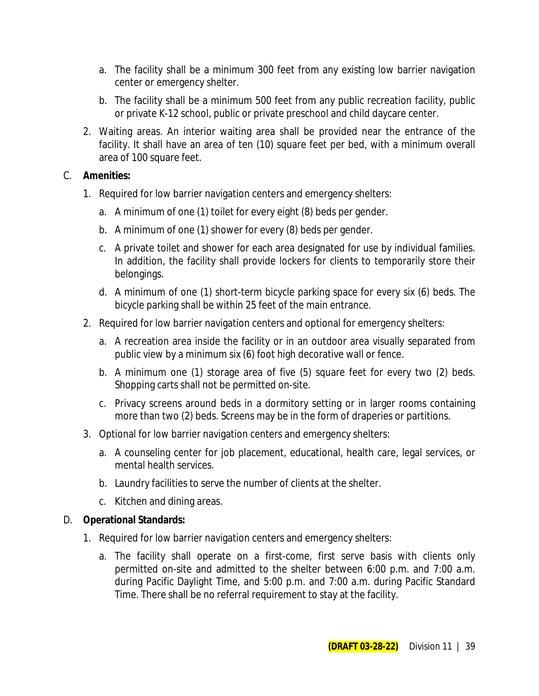- a. The facility shall be a minimum 300 feet from any existing low barrier navigation center or emergency shelter.
- b. The facility shall be a minimum 500 feet from any public recreation facility, public or private K-12 school, public or private preschool and child daycare center.
- 2. Waiting areas. An interior waiting area shall be provided near the entrance of the facility. It shall have an area of ten (10) square feet per bed, with a minimum overall area of 100 square feet.

### C. **Amenities:**

- 1. Required for low barrier navigation centers and emergency shelters:
	- a. A minimum of one (1) toilet for every eight (8) beds per gender.
	- b. A minimum of one (1) shower for every (8) beds per gender.
	- c. A private toilet and shower for each area designated for use by individual families. In addition, the facility shall provide lockers for clients to temporarily store their belongings.
	- d. A minimum of one (1) short-term bicycle parking space for every six (6) beds. The bicycle parking shall be within 25 feet of the main entrance.
- 2. Required for low barrier navigation centers and optional for emergency shelters:
	- a. A recreation area inside the facility or in an outdoor area visually separated from public view by a minimum six (6) foot high decorative wall or fence.
	- b. A minimum one (1) storage area of five (5) square feet for every two (2) beds. Shopping carts shall not be permitted on-site.
	- c. Privacy screens around beds in a dormitory setting or in larger rooms containing more than two (2) beds. Screens may be in the form of draperies or partitions.
- 3. Optional for low barrier navigation centers and emergency shelters:
	- a. A counseling center for job placement, educational, health care, legal services, or mental health services.
	- b. Laundry facilities to serve the number of clients at the shelter.
	- c. Kitchen and dining areas.

### D. **Operational Standards:**

- 1. Required for low barrier navigation centers and emergency shelters:
	- a. The facility shall operate on a first-come, first serve basis with clients only permitted on-site and admitted to the shelter between 6:00 p.m. and 7:00 a.m. during Pacific Daylight Time, and 5:00 p.m. and 7:00 a.m. during Pacific Standard Time. There shall be no referral requirement to stay at the facility.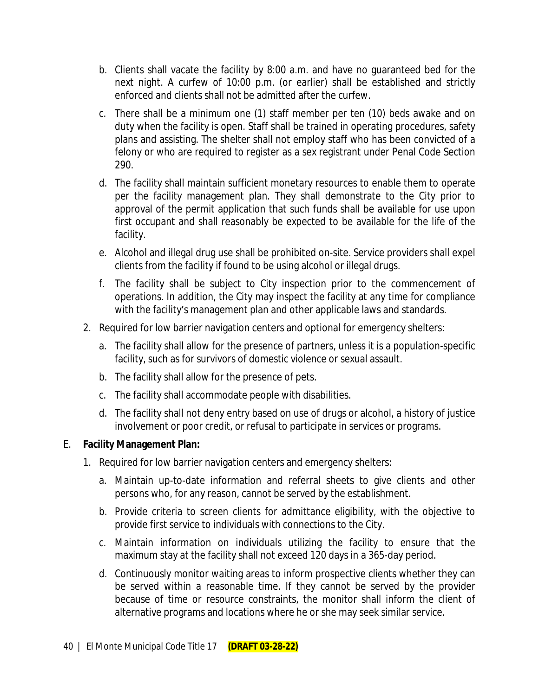- b. Clients shall vacate the facility by 8:00 a.m. and have no guaranteed bed for the next night. A curfew of 10:00 p.m. (or earlier) shall be established and strictly enforced and clients shall not be admitted after the curfew.
- c. There shall be a minimum one (1) staff member per ten (10) beds awake and on duty when the facility is open. Staff shall be trained in operating procedures, safety plans and assisting. The shelter shall not employ staff who has been convicted of a felony or who are required to register as a sex registrant under Penal Code Section 290.
- d. The facility shall maintain sufficient monetary resources to enable them to operate per the facility management plan. They shall demonstrate to the City prior to approval of the permit application that such funds shall be available for use upon first occupant and shall reasonably be expected to be available for the life of the facility.
- e. Alcohol and illegal drug use shall be prohibited on-site. Service providers shall expel clients from the facility if found to be using alcohol or illegal drugs.
- f. The facility shall be subject to City inspection prior to the commencement of operations. In addition, the City may inspect the facility at any time for compliance with the facility's management plan and other applicable laws and standards.
- 2. Required for low barrier navigation centers and optional for emergency shelters:
	- a. The facility shall allow for the presence of partners, unless it is a population-specific facility, such as for survivors of domestic violence or sexual assault.
	- b. The facility shall allow for the presence of pets.
	- c. The facility shall accommodate people with disabilities.
	- d. The facility shall not deny entry based on use of drugs or alcohol, a history of justice involvement or poor credit, or refusal to participate in services or programs.

### E. **Facility Management Plan:**

- 1. Required for low barrier navigation centers and emergency shelters:
	- a. Maintain up-to-date information and referral sheets to give clients and other persons who, for any reason, cannot be served by the establishment.
	- b. Provide criteria to screen clients for admittance eligibility, with the objective to provide first service to individuals with connections to the City.
	- c. Maintain information on individuals utilizing the facility to ensure that the maximum stay at the facility shall not exceed 120 days in a 365-day period.
	- d. Continuously monitor waiting areas to inform prospective clients whether they can be served within a reasonable time. If they cannot be served by the provider because of time or resource constraints, the monitor shall inform the client of alternative programs and locations where he or she may seek similar service.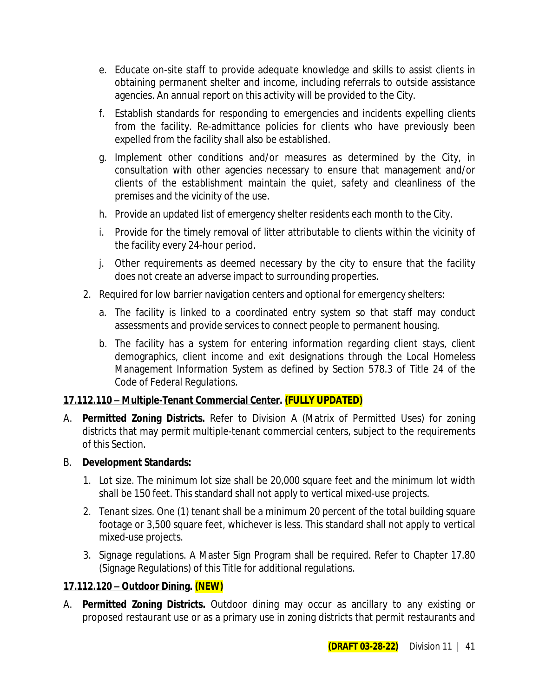- e. Educate on-site staff to provide adequate knowledge and skills to assist clients in obtaining permanent shelter and income, including referrals to outside assistance agencies. An annual report on this activity will be provided to the City.
- f. Establish standards for responding to emergencies and incidents expelling clients from the facility. Re-admittance policies for clients who have previously been expelled from the facility shall also be established.
- g. Implement other conditions and/or measures as determined by the City, in consultation with other agencies necessary to ensure that management and/or clients of the establishment maintain the quiet, safety and cleanliness of the premises and the vicinity of the use.
- h. Provide an updated list of emergency shelter residents each month to the City.
- i. Provide for the timely removal of litter attributable to clients within the vicinity of the facility every 24-hour period.
- j. Other requirements as deemed necessary by the city to ensure that the facility does not create an adverse impact to surrounding properties.
- 2. Required for low barrier navigation centers and optional for emergency shelters:
	- a. The facility is linked to a coordinated entry system so that staff may conduct assessments and provide services to connect people to permanent housing.
	- b. The facility has a system for entering information regarding client stays, client demographics, client income and exit designations through the Local Homeless Management Information System as defined by Section 578.3 of Title 24 of the Code of Federal Regulations.

### **17.112.110 – Multiple-Tenant Commercial Center. (FULLY UPDATED)**

A. **Permitted Zoning Districts.** Refer to Division A (Matrix of Permitted Uses) for zoning districts that may permit multiple-tenant commercial centers, subject to the requirements of this Section.

### B. **Development Standards:**

- 1. Lot size. The minimum lot size shall be 20,000 square feet and the minimum lot width shall be 150 feet. This standard shall not apply to vertical mixed-use projects.
- 2. Tenant sizes. One (1) tenant shall be a minimum 20 percent of the total building square footage or 3,500 square feet, whichever is less. This standard shall not apply to vertical mixed-use projects.
- 3. Signage regulations. A Master Sign Program shall be required. Refer to Chapter 17.80 (Signage Regulations) of this Title for additional regulations.

### **17.112.120 – Outdoor Dining. (NEW)**

A. **Permitted Zoning Districts.** Outdoor dining may occur as ancillary to any existing or proposed restaurant use or as a primary use in zoning districts that permit restaurants and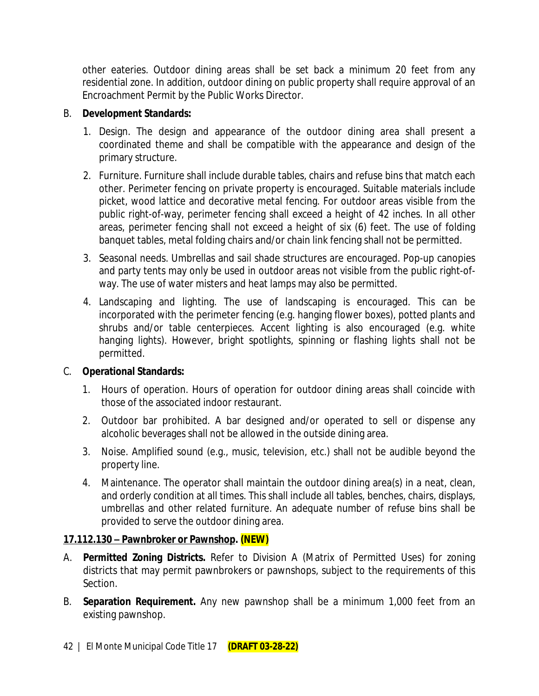other eateries. Outdoor dining areas shall be set back a minimum 20 feet from any residential zone. In addition, outdoor dining on public property shall require approval of an Encroachment Permit by the Public Works Director.

#### B. **Development Standards:**

- 1. Design. The design and appearance of the outdoor dining area shall present a coordinated theme and shall be compatible with the appearance and design of the primary structure.
- 2. Furniture. Furniture shall include durable tables, chairs and refuse bins that match each other. Perimeter fencing on private property is encouraged. Suitable materials include picket, wood lattice and decorative metal fencing. For outdoor areas visible from the public right-of-way, perimeter fencing shall exceed a height of 42 inches. In all other areas, perimeter fencing shall not exceed a height of six (6) feet. The use of folding banquet tables, metal folding chairs and/or chain link fencing shall not be permitted.
- 3. Seasonal needs. Umbrellas and sail shade structures are encouraged. Pop-up canopies and party tents may only be used in outdoor areas not visible from the public right-ofway. The use of water misters and heat lamps may also be permitted.
- 4. Landscaping and lighting. The use of landscaping is encouraged. This can be incorporated with the perimeter fencing (e.g. hanging flower boxes), potted plants and shrubs and/or table centerpieces. Accent lighting is also encouraged (e.g. white hanging lights). However, bright spotlights, spinning or flashing lights shall not be permitted.

### C. **Operational Standards:**

- 1. Hours of operation. Hours of operation for outdoor dining areas shall coincide with those of the associated indoor restaurant.
- 2. Outdoor bar prohibited. A bar designed and/or operated to sell or dispense any alcoholic beverages shall not be allowed in the outside dining area.
- 3. Noise. Amplified sound (e.g., music, television, etc.) shall not be audible beyond the property line.
- 4. Maintenance. The operator shall maintain the outdoor dining area(s) in a neat, clean, and orderly condition at all times. This shall include all tables, benches, chairs, displays, umbrellas and other related furniture. An adequate number of refuse bins shall be provided to serve the outdoor dining area.

### **17.112.130 – Pawnbroker or Pawnshop. (NEW)**

- A. **Permitted Zoning Districts.** Refer to Division A (Matrix of Permitted Uses) for zoning districts that may permit pawnbrokers or pawnshops, subject to the requirements of this Section.
- B. **Separation Requirement.** Any new pawnshop shall be a minimum 1,000 feet from an existing pawnshop.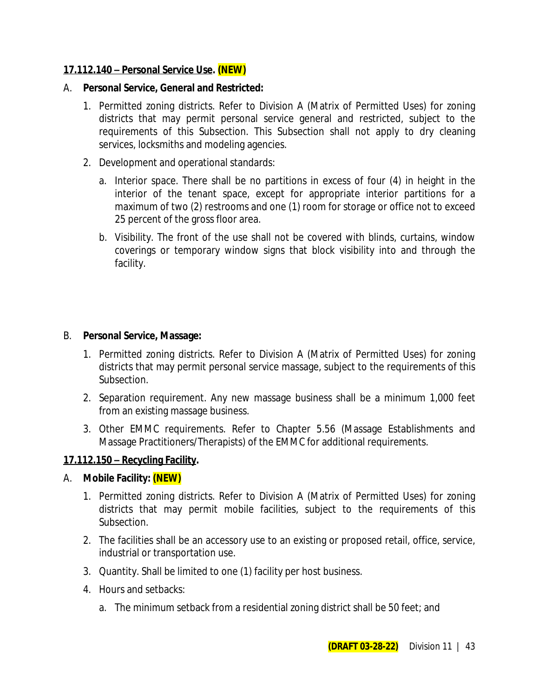### **17.112.140 – Personal Service Use. (NEW)**

#### A. **Personal Service, General and Restricted:**

- 1. Permitted zoning districts. Refer to Division A (Matrix of Permitted Uses) for zoning districts that may permit personal service general and restricted, subject to the requirements of this Subsection. This Subsection shall not apply to dry cleaning services, locksmiths and modeling agencies.
- 2. Development and operational standards:
	- a. Interior space. There shall be no partitions in excess of four (4) in height in the interior of the tenant space, except for appropriate interior partitions for a maximum of two (2) restrooms and one (1) room for storage or office not to exceed 25 percent of the gross floor area.
	- b. Visibility. The front of the use shall not be covered with blinds, curtains, window coverings or temporary window signs that block visibility into and through the facility.

#### B. **Personal Service, Massage:**

- 1. Permitted zoning districts. Refer to Division A (Matrix of Permitted Uses) for zoning districts that may permit personal service massage, subject to the requirements of this Subsection.
- 2. Separation requirement. Any new massage business shall be a minimum 1,000 feet from an existing massage business.
- 3. Other EMMC requirements. Refer to Chapter 5.56 (Massage Establishments and Massage Practitioners/Therapists) of the EMMC for additional requirements.

### **17.112.150 – Recycling Facility.**

### A. **Mobile Facility: (NEW)**

- 1. Permitted zoning districts. Refer to Division A (Matrix of Permitted Uses) for zoning districts that may permit mobile facilities, subject to the requirements of this Subsection.
- 2. The facilities shall be an accessory use to an existing or proposed retail, office, service, industrial or transportation use.
- 3. Quantity. Shall be limited to one (1) facility per host business.
- 4. Hours and setbacks:
	- a. The minimum setback from a residential zoning district shall be 50 feet; and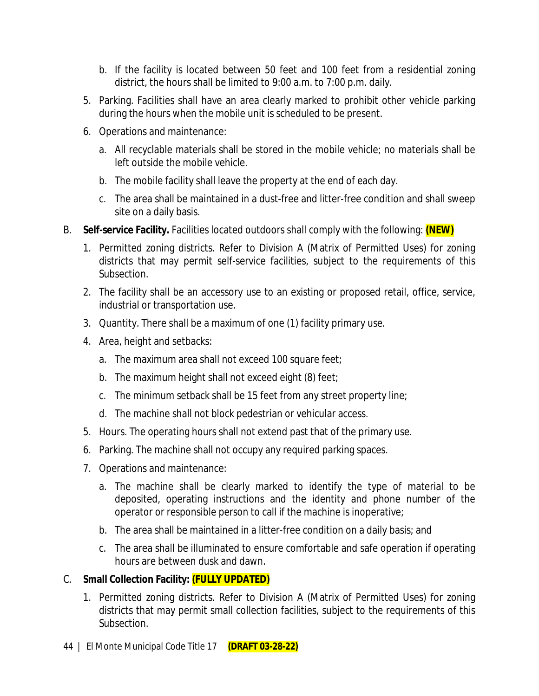- b. If the facility is located between 50 feet and 100 feet from a residential zoning district, the hours shall be limited to 9:00 a.m. to 7:00 p.m. daily.
- 5. Parking. Facilities shall have an area clearly marked to prohibit other vehicle parking during the hours when the mobile unit is scheduled to be present.
- 6. Operations and maintenance:
	- a. All recyclable materials shall be stored in the mobile vehicle; no materials shall be left outside the mobile vehicle.
	- b. The mobile facility shall leave the property at the end of each day.
	- c. The area shall be maintained in a dust-free and litter-free condition and shall sweep site on a daily basis.
- B. **Self-service Facility.** Facilities located outdoors shall comply with the following: **(NEW)**
	- 1. Permitted zoning districts. Refer to Division A (Matrix of Permitted Uses) for zoning districts that may permit self-service facilities, subject to the requirements of this Subsection.
	- 2. The facility shall be an accessory use to an existing or proposed retail, office, service, industrial or transportation use.
	- 3. Quantity. There shall be a maximum of one (1) facility primary use.
	- 4. Area, height and setbacks:
		- a. The maximum area shall not exceed 100 square feet;
		- b. The maximum height shall not exceed eight (8) feet;
		- c. The minimum setback shall be 15 feet from any street property line;
		- d. The machine shall not block pedestrian or vehicular access.
	- 5. Hours. The operating hours shall not extend past that of the primary use.
	- 6. Parking. The machine shall not occupy any required parking spaces.
	- 7. Operations and maintenance:
		- a. The machine shall be clearly marked to identify the type of material to be deposited, operating instructions and the identity and phone number of the operator or responsible person to call if the machine is inoperative;
		- b. The area shall be maintained in a litter-free condition on a daily basis; and
		- c. The area shall be illuminated to ensure comfortable and safe operation if operating hours are between dusk and dawn.

### C. **Small Collection Facility: (FULLY UPDATED)**

1. Permitted zoning districts. Refer to Division A (Matrix of Permitted Uses) for zoning districts that may permit small collection facilities, subject to the requirements of this Subsection.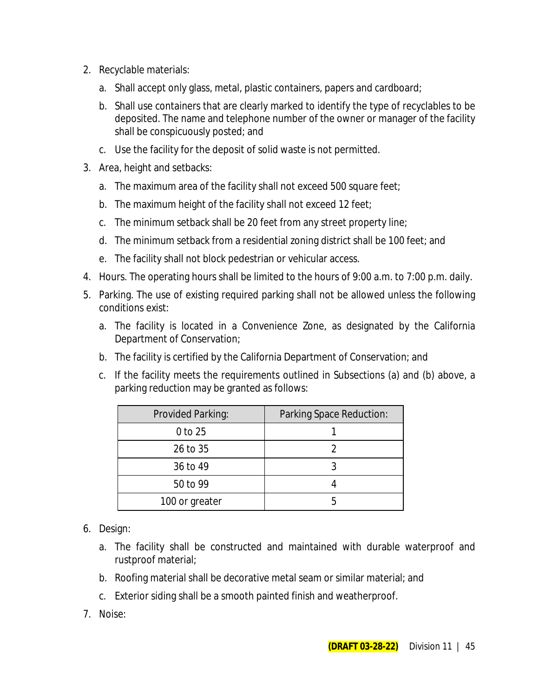- 2. Recyclable materials:
	- a. Shall accept only glass, metal, plastic containers, papers and cardboard;
	- b. Shall use containers that are clearly marked to identify the type of recyclables to be deposited. The name and telephone number of the owner or manager of the facility shall be conspicuously posted; and
	- c. Use the facility for the deposit of solid waste is not permitted.
- 3. Area, height and setbacks:
	- a. The maximum area of the facility shall not exceed 500 square feet;
	- b. The maximum height of the facility shall not exceed 12 feet;
	- c. The minimum setback shall be 20 feet from any street property line;
	- d. The minimum setback from a residential zoning district shall be 100 feet; and
	- e. The facility shall not block pedestrian or vehicular access.
- 4. Hours. The operating hours shall be limited to the hours of 9:00 a.m. to 7:00 p.m. daily.
- 5. Parking. The use of existing required parking shall not be allowed unless the following conditions exist:
	- a. The facility is located in a Convenience Zone, as designated by the California Department of Conservation;
	- b. The facility is certified by the California Department of Conservation; and
	- c. If the facility meets the requirements outlined in Subsections (a) and (b) above, a parking reduction may be granted as follows:

| Provided Parking: | Parking Space Reduction: |
|-------------------|--------------------------|
| 0 to 25           |                          |
| 26 to 35          |                          |
| 36 to 49          |                          |
| 50 to 99          |                          |
| 100 or greater    |                          |

- 6. Design:
	- a. The facility shall be constructed and maintained with durable waterproof and rustproof material;
	- b. Roofing material shall be decorative metal seam or similar material; and
	- c. Exterior siding shall be a smooth painted finish and weatherproof.
- 7. Noise: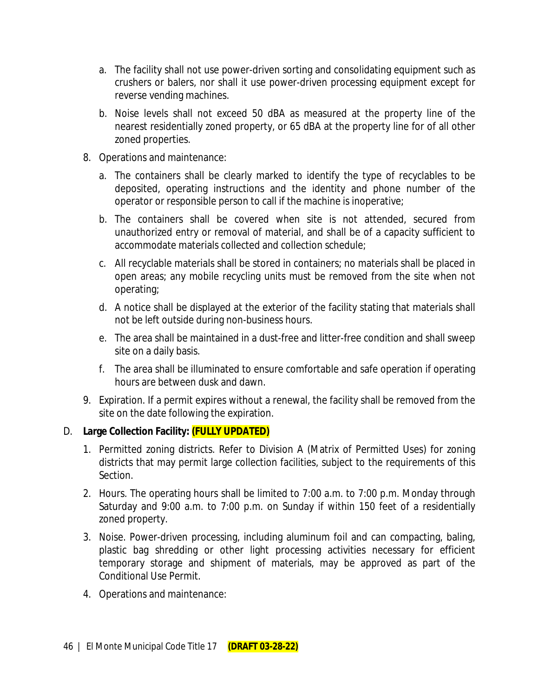- a. The facility shall not use power-driven sorting and consolidating equipment such as crushers or balers, nor shall it use power-driven processing equipment except for reverse vending machines.
- b. Noise levels shall not exceed 50 dBA as measured at the property line of the nearest residentially zoned property, or 65 dBA at the property line for of all other zoned properties.
- 8. Operations and maintenance:
	- a. The containers shall be clearly marked to identify the type of recyclables to be deposited, operating instructions and the identity and phone number of the operator or responsible person to call if the machine is inoperative;
	- b. The containers shall be covered when site is not attended, secured from unauthorized entry or removal of material, and shall be of a capacity sufficient to accommodate materials collected and collection schedule;
	- c. All recyclable materials shall be stored in containers; no materials shall be placed in open areas; any mobile recycling units must be removed from the site when not operating;
	- d. A notice shall be displayed at the exterior of the facility stating that materials shall not be left outside during non-business hours.
	- e. The area shall be maintained in a dust-free and litter-free condition and shall sweep site on a daily basis.
	- f. The area shall be illuminated to ensure comfortable and safe operation if operating hours are between dusk and dawn.
- 9. Expiration. If a permit expires without a renewal, the facility shall be removed from the site on the date following the expiration.

### D. **Large Collection Facility: (FULLY UPDATED)**

- 1. Permitted zoning districts. Refer to Division A (Matrix of Permitted Uses) for zoning districts that may permit large collection facilities, subject to the requirements of this Section.
- 2. Hours. The operating hours shall be limited to 7:00 a.m. to 7:00 p.m. Monday through Saturday and 9:00 a.m. to 7:00 p.m. on Sunday if within 150 feet of a residentially zoned property.
- 3. Noise. Power-driven processing, including aluminum foil and can compacting, baling, plastic bag shredding or other light processing activities necessary for efficient temporary storage and shipment of materials, may be approved as part of the Conditional Use Permit.
- 4. Operations and maintenance: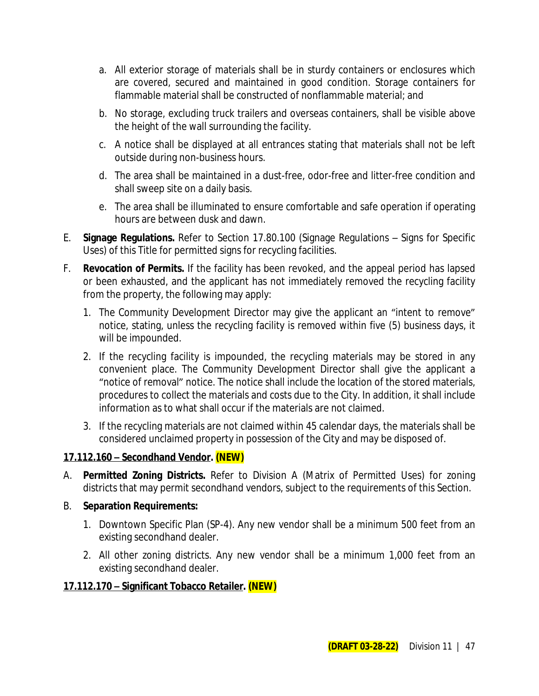- a. All exterior storage of materials shall be in sturdy containers or enclosures which are covered, secured and maintained in good condition. Storage containers for flammable material shall be constructed of nonflammable material; and
- b. No storage, excluding truck trailers and overseas containers, shall be visible above the height of the wall surrounding the facility.
- c. A notice shall be displayed at all entrances stating that materials shall not be left outside during non-business hours.
- d. The area shall be maintained in a dust-free, odor-free and litter-free condition and shall sweep site on a daily basis.
- e. The area shall be illuminated to ensure comfortable and safe operation if operating hours are between dusk and dawn.
- E. **Signage Regulations.** Refer to Section 17.80.100 (Signage Regulations Signs for Specific Uses) of this Title for permitted signs for recycling facilities.
- F. **Revocation of Permits.** If the facility has been revoked, and the appeal period has lapsed or been exhausted, and the applicant has not immediately removed the recycling facility from the property, the following may apply:
	- 1. The Community Development Director may give the applicant an "intent to remove" notice, stating, unless the recycling facility is removed within five (5) business days, it will be impounded.
	- 2. If the recycling facility is impounded, the recycling materials may be stored in any convenient place. The Community Development Director shall give the applicant a "notice of removal" notice. The notice shall include the location of the stored materials, procedures to collect the materials and costs due to the City. In addition, it shall include information as to what shall occur if the materials are not claimed.
	- 3. If the recycling materials are not claimed within 45 calendar days, the materials shall be considered unclaimed property in possession of the City and may be disposed of.

### **17.112.160 – Secondhand Vendor. (NEW)**

- A. **Permitted Zoning Districts.** Refer to Division A (Matrix of Permitted Uses) for zoning districts that may permit secondhand vendors, subject to the requirements of this Section.
- B. **Separation Requirements:**
	- 1. Downtown Specific Plan (SP-4). Any new vendor shall be a minimum 500 feet from an existing secondhand dealer.
	- 2. All other zoning districts. Any new vendor shall be a minimum 1,000 feet from an existing secondhand dealer.

### **17.112.170 – Significant Tobacco Retailer. (NEW)**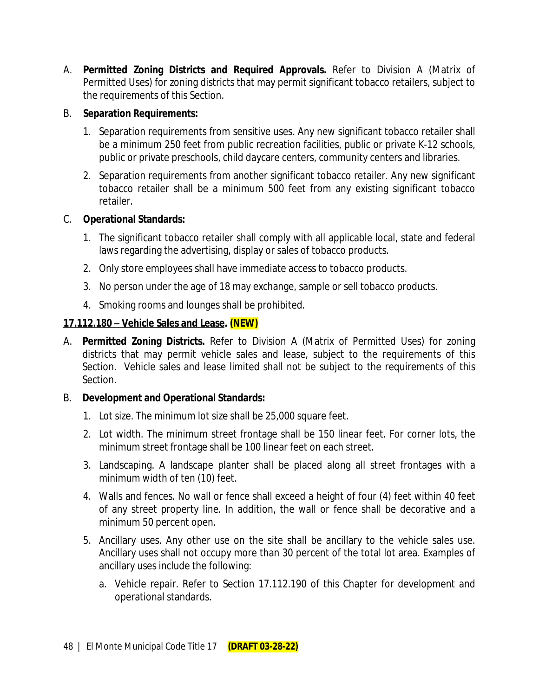A. **Permitted Zoning Districts and Required Approvals.** Refer to Division A (Matrix of Permitted Uses) for zoning districts that may permit significant tobacco retailers, subject to the requirements of this Section.

### B. **Separation Requirements:**

- 1. Separation requirements from sensitive uses. Any new significant tobacco retailer shall be a minimum 250 feet from public recreation facilities, public or private K-12 schools, public or private preschools, child daycare centers, community centers and libraries.
- 2. Separation requirements from another significant tobacco retailer. Any new significant tobacco retailer shall be a minimum 500 feet from any existing significant tobacco retailer.

### C. **Operational Standards:**

- 1. The significant tobacco retailer shall comply with all applicable local, state and federal laws regarding the advertising, display or sales of tobacco products.
- 2. Only store employees shall have immediate access to tobacco products.
- 3. No person under the age of 18 may exchange, sample or sell tobacco products.
- 4. Smoking rooms and lounges shall be prohibited.

### **17.112.180 – Vehicle Sales and Lease. (NEW)**

A. **Permitted Zoning Districts.** Refer to Division A (Matrix of Permitted Uses) for zoning districts that may permit vehicle sales and lease, subject to the requirements of this Section. Vehicle sales and lease limited shall not be subject to the requirements of this Section.

### B. **Development and Operational Standards:**

- 1. Lot size. The minimum lot size shall be 25,000 square feet.
- 2. Lot width. The minimum street frontage shall be 150 linear feet. For corner lots, the minimum street frontage shall be 100 linear feet on each street.
- 3. Landscaping. A landscape planter shall be placed along all street frontages with a minimum width of ten (10) feet.
- 4. Walls and fences. No wall or fence shall exceed a height of four (4) feet within 40 feet of any street property line. In addition, the wall or fence shall be decorative and a minimum 50 percent open.
- 5. Ancillary uses. Any other use on the site shall be ancillary to the vehicle sales use. Ancillary uses shall not occupy more than 30 percent of the total lot area. Examples of ancillary uses include the following:
	- a. Vehicle repair. Refer to Section 17.112.190 of this Chapter for development and operational standards.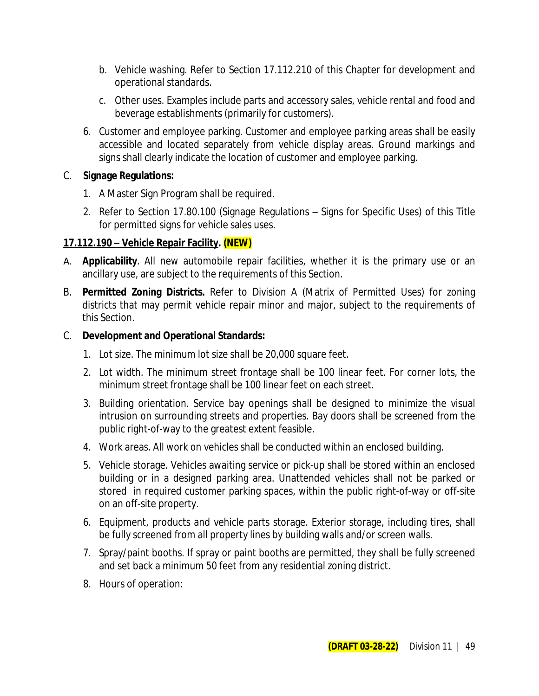- b. Vehicle washing. Refer to Section 17.112.210 of this Chapter for development and operational standards.
- c. Other uses. Examples include parts and accessory sales, vehicle rental and food and beverage establishments (primarily for customers).
- 6. Customer and employee parking. Customer and employee parking areas shall be easily accessible and located separately from vehicle display areas. Ground markings and signs shall clearly indicate the location of customer and employee parking.

### C. **Signage Regulations:**

- 1. A Master Sign Program shall be required.
- 2. Refer to Section 17.80.100 (Signage Regulations Signs for Specific Uses) of this Title for permitted signs for vehicle sales uses.

## **17.112.190 – Vehicle Repair Facility. (NEW)**

- A. **Applicability**. All new automobile repair facilities, whether it is the primary use or an ancillary use, are subject to the requirements of this Section.
- B. **Permitted Zoning Districts.** Refer to Division A (Matrix of Permitted Uses) for zoning districts that may permit vehicle repair minor and major, subject to the requirements of this Section.

### C. **Development and Operational Standards:**

- 1. Lot size. The minimum lot size shall be 20,000 square feet.
- 2. Lot width. The minimum street frontage shall be 100 linear feet. For corner lots, the minimum street frontage shall be 100 linear feet on each street.
- 3. Building orientation. Service bay openings shall be designed to minimize the visual intrusion on surrounding streets and properties. Bay doors shall be screened from the public right-of-way to the greatest extent feasible.
- 4. Work areas. All work on vehicles shall be conducted within an enclosed building.
- 5. Vehicle storage. Vehicles awaiting service or pick-up shall be stored within an enclosed building or in a designed parking area. Unattended vehicles shall not be parked or stored in required customer parking spaces, within the public right-of-way or off-site on an off-site property.
- 6. Equipment, products and vehicle parts storage. Exterior storage, including tires, shall be fully screened from all property lines by building walls and/or screen walls.
- 7. Spray/paint booths. If spray or paint booths are permitted, they shall be fully screened and set back a minimum 50 feet from any residential zoning district.
- 8. Hours of operation: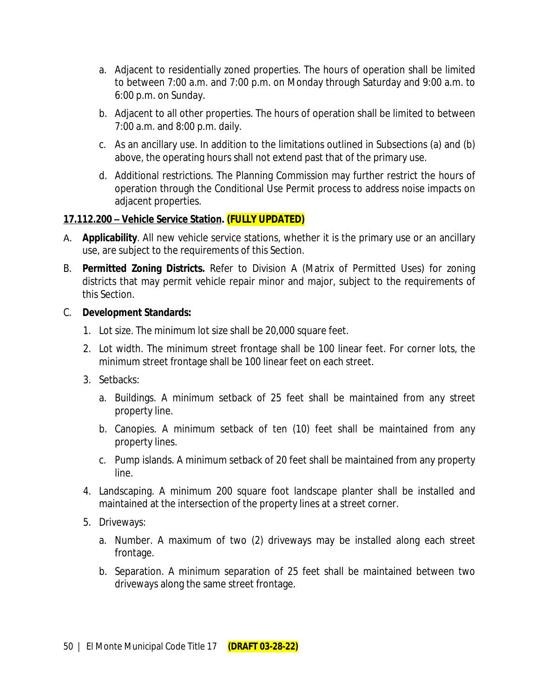- a. Adjacent to residentially zoned properties. The hours of operation shall be limited to between 7:00 a.m. and 7:00 p.m. on Monday through Saturday and 9:00 a.m. to 6:00 p.m. on Sunday.
- b. Adjacent to all other properties. The hours of operation shall be limited to between 7:00 a.m. and 8:00 p.m. daily.
- c. As an ancillary use. In addition to the limitations outlined in Subsections (a) and (b) above, the operating hours shall not extend past that of the primary use.
- d. Additional restrictions. The Planning Commission may further restrict the hours of operation through the Conditional Use Permit process to address noise impacts on adjacent properties.

### **17.112.200 – Vehicle Service Station. (FULLY UPDATED)**

- A. **Applicability**. All new vehicle service stations, whether it is the primary use or an ancillary use, are subject to the requirements of this Section.
- B. **Permitted Zoning Districts.** Refer to Division A (Matrix of Permitted Uses) for zoning districts that may permit vehicle repair minor and major, subject to the requirements of this Section.

### C. **Development Standards:**

- 1. Lot size. The minimum lot size shall be 20,000 square feet.
- 2. Lot width. The minimum street frontage shall be 100 linear feet. For corner lots, the minimum street frontage shall be 100 linear feet on each street.
- 3. Setbacks:
	- a. Buildings. A minimum setback of 25 feet shall be maintained from any street property line.
	- b. Canopies. A minimum setback of ten (10) feet shall be maintained from any property lines.
	- c. Pump islands. A minimum setback of 20 feet shall be maintained from any property line.
- 4. Landscaping. A minimum 200 square foot landscape planter shall be installed and maintained at the intersection of the property lines at a street corner.
- 5. Driveways:
	- a. Number. A maximum of two (2) driveways may be installed along each street frontage.
	- b. Separation. A minimum separation of 25 feet shall be maintained between two driveways along the same street frontage.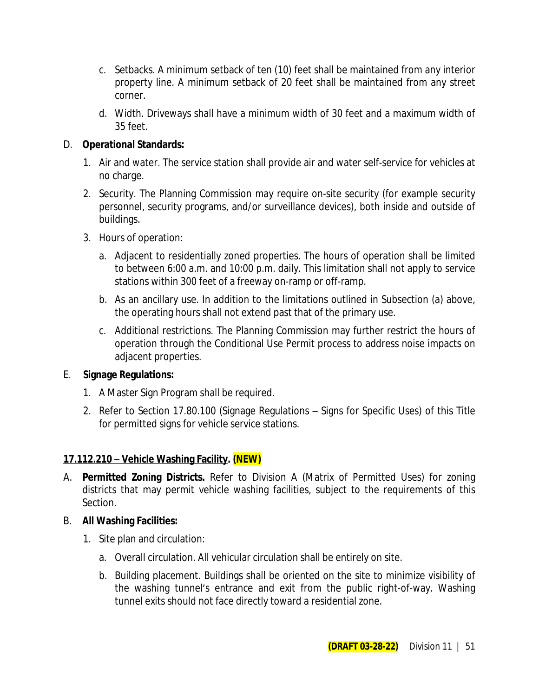- c. Setbacks. A minimum setback of ten (10) feet shall be maintained from any interior property line. A minimum setback of 20 feet shall be maintained from any street corner.
- d. Width. Driveways shall have a minimum width of 30 feet and a maximum width of 35 feet.

### D. **Operational Standards:**

- 1. Air and water. The service station shall provide air and water self-service for vehicles at no charge.
- 2. Security. The Planning Commission may require on-site security (for example security personnel, security programs, and/or surveillance devices), both inside and outside of buildings.
- 3. Hours of operation:
	- a. Adjacent to residentially zoned properties. The hours of operation shall be limited to between 6:00 a.m. and 10:00 p.m. daily. This limitation shall not apply to service stations within 300 feet of a freeway on-ramp or off-ramp.
	- b. As an ancillary use. In addition to the limitations outlined in Subsection (a) above, the operating hours shall not extend past that of the primary use.
	- c. Additional restrictions. The Planning Commission may further restrict the hours of operation through the Conditional Use Permit process to address noise impacts on adjacent properties.

### E. **Signage Regulations:**

- 1. A Master Sign Program shall be required.
- 2. Refer to Section 17.80.100 (Signage Regulations Signs for Specific Uses) of this Title for permitted signs for vehicle service stations.

### **17.112.210 – Vehicle Washing Facility. (NEW)**

A. **Permitted Zoning Districts.** Refer to Division A (Matrix of Permitted Uses) for zoning districts that may permit vehicle washing facilities, subject to the requirements of this Section.

### B. **All Washing Facilities:**

- 1. Site plan and circulation:
	- a. Overall circulation. All vehicular circulation shall be entirely on site.
	- b. Building placement. Buildings shall be oriented on the site to minimize visibility of the washing tunnel's entrance and exit from the public right-of-way. Washing tunnel exits should not face directly toward a residential zone.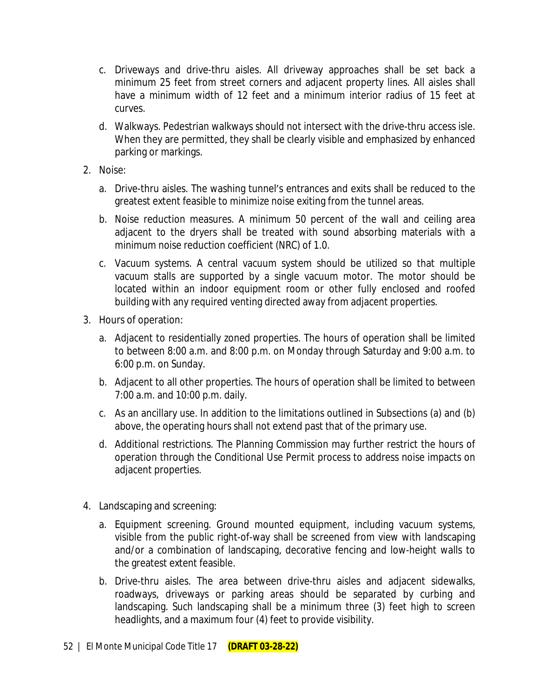- c. Driveways and drive-thru aisles. All driveway approaches shall be set back a minimum 25 feet from street corners and adjacent property lines. All aisles shall have a minimum width of 12 feet and a minimum interior radius of 15 feet at curves.
- d. Walkways. Pedestrian walkways should not intersect with the drive-thru access isle. When they are permitted, they shall be clearly visible and emphasized by enhanced parking or markings.
- 2. Noise:
	- a. Drive-thru aisles. The washing tunnel's entrances and exits shall be reduced to the greatest extent feasible to minimize noise exiting from the tunnel areas.
	- b. Noise reduction measures. A minimum 50 percent of the wall and ceiling area adjacent to the dryers shall be treated with sound absorbing materials with a minimum noise reduction coefficient (NRC) of 1.0.
	- c. Vacuum systems. A central vacuum system should be utilized so that multiple vacuum stalls are supported by a single vacuum motor. The motor should be located within an indoor equipment room or other fully enclosed and roofed building with any required venting directed away from adjacent properties.
- 3. Hours of operation:
	- a. Adjacent to residentially zoned properties. The hours of operation shall be limited to between 8:00 a.m. and 8:00 p.m. on Monday through Saturday and 9:00 a.m. to 6:00 p.m. on Sunday.
	- b. Adjacent to all other properties. The hours of operation shall be limited to between 7:00 a.m. and 10:00 p.m. daily.
	- c. As an ancillary use. In addition to the limitations outlined in Subsections (a) and (b) above, the operating hours shall not extend past that of the primary use.
	- d. Additional restrictions. The Planning Commission may further restrict the hours of operation through the Conditional Use Permit process to address noise impacts on adjacent properties.
- 4. Landscaping and screening:
	- a. Equipment screening. Ground mounted equipment, including vacuum systems, visible from the public right-of-way shall be screened from view with landscaping and/or a combination of landscaping, decorative fencing and low-height walls to the greatest extent feasible.
	- b. Drive-thru aisles. The area between drive-thru aisles and adjacent sidewalks, roadways, driveways or parking areas should be separated by curbing and landscaping. Such landscaping shall be a minimum three (3) feet high to screen headlights, and a maximum four (4) feet to provide visibility.